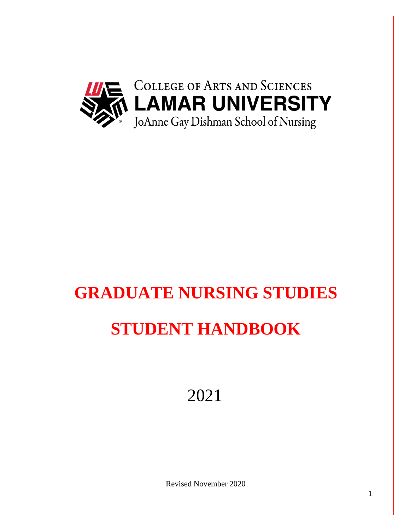

# **GRADUATE NURSING STUDIES STUDENT HANDBOOK**

2021

Revised November 2020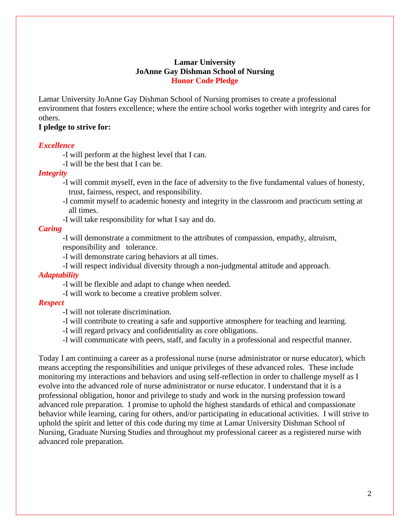### **Lamar University JoAnne Gay Dishman School of Nursing Honor Code Pledge**

Lamar University JoAnne Gay Dishman School of Nursing promises to create a professional environment that fosters excellence; where the entire school works together with integrity and cares for others.

### **I pledge to strive for:**

#### *Excellence*

-I will perform at the highest level that I can.

-I will be the best that I can be.

### *Integrity*

- -I will commit myself, even in the face of adversity to the five fundamental values of honesty, trust, fairness, respect, and responsibility.
- -I commit myself to academic honesty and integrity in the classroom and practicum setting at all times.
- -I will take responsibility for what I say and do.

### *Caring*

-I will demonstrate a commitment to the attributes of compassion, empathy, altruism, responsibility and tolerance.

-I will demonstrate caring behaviors at all times.

-I will respect individual diversity through a non-judgmental attitude and approach.

#### *Adaptability*

-I will be flexible and adapt to change when needed.

-I will work to become a creative problem solver.

#### *Respect*

-I will not tolerate discrimination.

- -I will contribute to creating a safe and supportive atmosphere for teaching and learning.
- -I will regard privacy and confidentiality as core obligations.

-I will communicate with peers, staff, and faculty in a professional and respectful manner.

Today I am continuing a career as a professional nurse (nurse administrator or nurse educator), which means accepting the responsibilities and unique privileges of these advanced roles. These include monitoring my interactions and behaviors and using self-reflection in order to challenge myself as I evolve into the advanced role of nurse administrator or nurse educator. I understand that it is a professional obligation, honor and privilege to study and work in the nursing profession toward advanced role preparation. I promise to uphold the highest standards of ethical and compassionate behavior while learning, caring for others, and/or participating in educational activities. I will strive to uphold the spirit and letter of this code during my time at Lamar University Dishman School of Nursing, Graduate Nursing Studies and throughout my professional career as a registered nurse with advanced role preparation.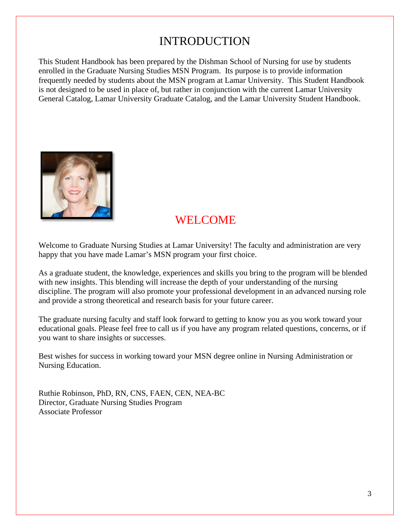# INTRODUCTION

This Student Handbook has been prepared by the Dishman School of Nursing for use by students enrolled in the Graduate Nursing Studies MSN Program. Its purpose is to provide information frequently needed by students about the MSN program at Lamar University. This Student Handbook is not designed to be used in place of, but rather in conjunction with the current Lamar University General Catalog, Lamar University Graduate Catalog, and the Lamar University Student Handbook.



# WELCOME

Welcome to Graduate Nursing Studies at Lamar University! The faculty and administration are very happy that you have made Lamar's MSN program your first choice.

As a graduate student, the knowledge, experiences and skills you bring to the program will be blended with new insights. This blending will increase the depth of your understanding of the nursing discipline. The program will also promote your professional development in an advanced nursing role and provide a strong theoretical and research basis for your future career.

The graduate nursing faculty and staff look forward to getting to know you as you work toward your educational goals. Please feel free to call us if you have any program related questions, concerns, or if you want to share insights or successes.

Best wishes for success in working toward your MSN degree online in Nursing Administration or Nursing Education.

Ruthie Robinson, PhD, RN, CNS, FAEN, CEN, NEA-BC Director, Graduate Nursing Studies Program Associate Professor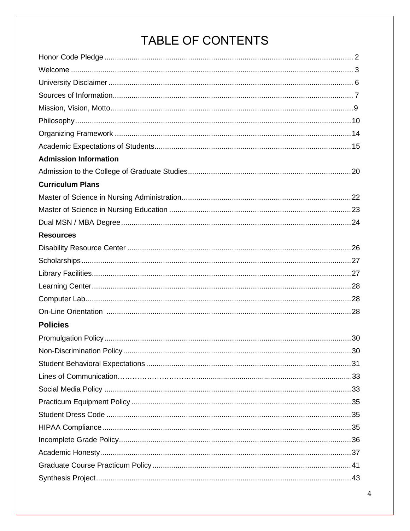# TABLE OF CONTENTS

| <b>Admission Information</b> |  |
|------------------------------|--|
|                              |  |
| <b>Curriculum Plans</b>      |  |
|                              |  |
|                              |  |
|                              |  |
| <b>Resources</b>             |  |
|                              |  |
|                              |  |
|                              |  |
|                              |  |
|                              |  |
|                              |  |
| <b>Policies</b>              |  |
|                              |  |
|                              |  |
|                              |  |
|                              |  |
|                              |  |
|                              |  |
|                              |  |
|                              |  |
|                              |  |
|                              |  |
|                              |  |
|                              |  |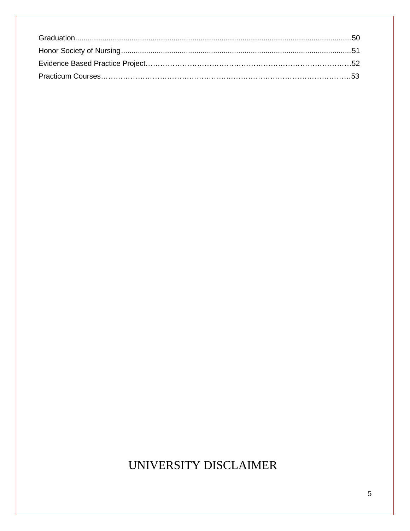# UNIVERSITY DISCLAIMER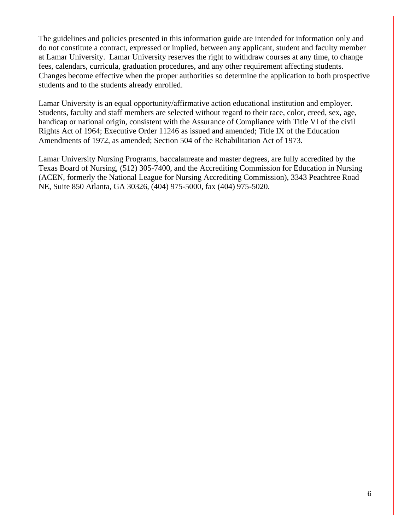The guidelines and policies presented in this information guide are intended for information only and do not constitute a contract, expressed or implied, between any applicant, student and faculty member at Lamar University. Lamar University reserves the right to withdraw courses at any time, to change fees, calendars, curricula, graduation procedures, and any other requirement affecting students. Changes become effective when the proper authorities so determine the application to both prospective students and to the students already enrolled.

Lamar University is an equal opportunity/affirmative action educational institution and employer. Students, faculty and staff members are selected without regard to their race, color, creed, sex, age, handicap or national origin, consistent with the Assurance of Compliance with Title VI of the civil Rights Act of 1964; Executive Order 11246 as issued and amended; Title IX of the Education Amendments of 1972, as amended; Section 504 of the Rehabilitation Act of 1973.

Lamar University Nursing Programs, baccalaureate and master degrees, are fully accredited by the Texas Board of Nursing, (512) 305-7400, and the Accrediting Commission for Education in Nursing (ACEN, formerly the National League for Nursing Accrediting Commission), 3343 Peachtree Road NE, Suite 850 Atlanta, GA 30326, (404) 975-5000, fax (404) 975-5020.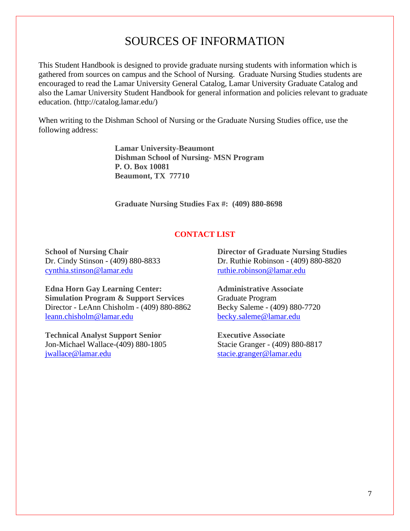# SOURCES OF INFORMATION

This Student Handbook is designed to provide graduate nursing students with information which is gathered from sources on campus and the School of Nursing. Graduate Nursing Studies students are encouraged to read the Lamar University General Catalog, Lamar University Graduate Catalog and also the Lamar University Student Handbook for general information and policies relevant to graduate education. (http://catalog.lamar.edu/)

When writing to the Dishman School of Nursing or the Graduate Nursing Studies office, use the following address:

> **Lamar University-Beaumont Dishman School of Nursing- MSN Program P. O. Box 10081 Beaumont, TX 77710**

**Graduate Nursing Studies Fax #: (409) 880-8698**

#### **CONTACT LIST**

**School of Nursing Chair** Dr. Cindy Stinson - (409) 880-8833 [cynthia.stinson@lamar.edu](mailto:cynthia.stinson@lamar.edu)

**Edna Horn Gay Learning Center: Simulation Program & Support Services** Director - LeAnn Chisholm - (409) 880-8862 [leann.chisholm@lamar.edu](mailto:leann.chisholm@lamar.edu)

**Technical Analyst Support Senior** Jon-Michael Wallace-(409) 880-1805 [jwallace@lamar.edu](mailto:jwallace@lamar.edu)

**Director of Graduate Nursing Studies** Dr. Ruthie Robinson - (409) 880-8820 [ruthie.robinson@lamar.edu](mailto:ruthie.robinson@lamar.edu)

**Administrative Associate** Graduate Program Becky Saleme - (409) 880-7720 [becky.saleme@lamar.edu](mailto:becky.saleme@lamar.edu)

**Executive Associate** Stacie Granger - (409) 880-8817 [stacie.granger@lamar.edu](mailto:stacie.granger@lamar.edu)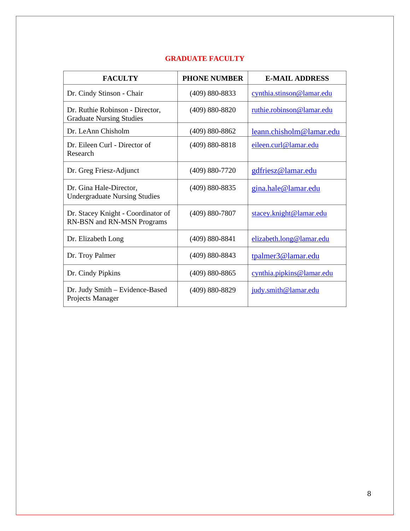| <b>FACULTY</b>                                                     | <b>PHONE NUMBER</b> | <b>E-MAIL ADDRESS</b>     |
|--------------------------------------------------------------------|---------------------|---------------------------|
| Dr. Cindy Stinson - Chair                                          | $(409) 880 - 8833$  | cynthia.stinson@lamar.edu |
| Dr. Ruthie Robinson - Director,<br><b>Graduate Nursing Studies</b> | $(409) 880 - 8820$  | ruthie.robinson@lamar.edu |
| Dr. LeAnn Chisholm                                                 | $(409) 880 - 8862$  | leann.chisholm@lamar.edu  |
| Dr. Eileen Curl - Director of<br>Research                          | $(409) 880 - 8818$  | eileen.curl@lamar.edu     |
| Dr. Greg Friesz-Adjunct                                            | $(409) 880 - 7720$  | gdfriesz@lamar.edu        |
| Dr. Gina Hale-Director,<br><b>Undergraduate Nursing Studies</b>    | (409) 880-8835      | gina.hale@lamar.edu       |
| Dr. Stacey Knight - Coordinator of<br>RN-BSN and RN-MSN Programs   | $(409) 880 - 7807$  | stacey.knight@lamar.edu   |
| Dr. Elizabeth Long                                                 | $(409) 880 - 8841$  | elizabeth.long@lamar.edu  |
| Dr. Troy Palmer                                                    | $(409) 880 - 8843$  | tpalmer3@lamar.edu        |
| Dr. Cindy Pipkins                                                  | $(409) 880 - 8865$  | cynthia.pipkins@lamar.edu |
| Dr. Judy Smith - Evidence-Based<br>Projects Manager                | $(409) 880 - 8829$  | judy.smith@lamar.edu      |

# **GRADUATE FACULTY**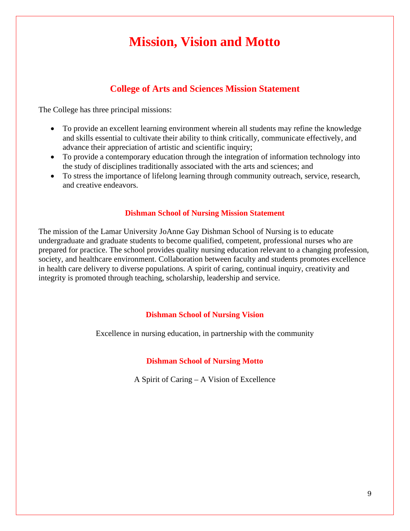# **Mission, Vision and Motto**

# **College of Arts and Sciences Mission Statement**

The College has three principal missions:

- To provide an excellent learning environment wherein all students may refine the knowledge and skills essential to cultivate their ability to think critically, communicate effectively, and advance their appreciation of artistic and scientific inquiry;
- To provide a contemporary education through the integration of information technology into the study of disciplines traditionally associated with the arts and sciences; and
- To stress the importance of lifelong learning through community outreach, service, research, and creative endeavors.

#### **Dishman School of Nursing Mission Statement**

The mission of the Lamar University JoAnne Gay Dishman School of Nursing is to educate undergraduate and graduate students to become qualified, competent, professional nurses who are prepared for practice. The school provides quality nursing education relevant to a changing profession, society, and healthcare environment. Collaboration between faculty and students promotes excellence in health care delivery to diverse populations. A spirit of caring, continual inquiry, creativity and integrity is promoted through teaching, scholarship, leadership and service.

#### **Dishman School of Nursing Vision**

Excellence in nursing education, in partnership with the community

#### **Dishman School of Nursing Motto**

A Spirit of Caring – A Vision of Excellence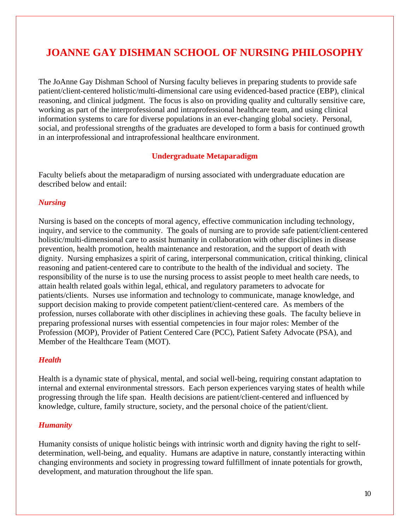# **JOANNE GAY DISHMAN SCHOOL OF NURSING PHILOSOPHY**

The JoAnne Gay Dishman School of Nursing faculty believes in preparing students to provide safe patient/client-centered holistic/multi-dimensional care using evidenced-based practice (EBP), clinical reasoning, and clinical judgment. The focus is also on providing quality and culturally sensitive care, working as part of the interprofessional and intraprofessional healthcare team, and using clinical information systems to care for diverse populations in an ever-changing global society. Personal, social, and professional strengths of the graduates are developed to form a basis for continued growth in an interprofessional and intraprofessional healthcare environment.

#### **Undergraduate Metaparadigm**

Faculty beliefs about the metaparadigm of nursing associated with undergraduate education are described below and entail:

### *Nursing*

Nursing is based on the concepts of moral agency, effective communication including technology, inquiry, and service to the community. The goals of nursing are to provide safe patient/client centered holistic/multi-dimensional care to assist humanity in collaboration with other disciplines in disease prevention, health promotion, health maintenance and restoration, and the support of death with dignity. Nursing emphasizes a spirit of caring, interpersonal communication, critical thinking, clinical reasoning and patient-centered care to contribute to the health of the individual and society. The responsibility of the nurse is to use the nursing process to assist people to meet health care needs, to attain health related goals within legal, ethical, and regulatory parameters to advocate for patients/clients. Nurses use information and technology to communicate, manage knowledge, and support decision making to provide competent patient/client-centered care. As members of the profession, nurses collaborate with other disciplines in achieving these goals. The faculty believe in preparing professional nurses with essential competencies in four major roles: Member of the Profession (MOP), Provider of Patient Centered Care (PCC), Patient Safety Advocate (PSA), and Member of the Healthcare Team (MOT).

### *Health*

Health is a dynamic state of physical, mental, and social well-being, requiring constant adaptation to internal and external environmental stressors. Each person experiences varying states of health while progressing through the life span. Health decisions are patient/client-centered and influenced by knowledge, culture, family structure, society, and the personal choice of the patient/client.

#### *Humanity*

Humanity consists of unique holistic beings with intrinsic worth and dignity having the right to selfdetermination, well-being, and equality. Humans are adaptive in nature, constantly interacting within changing environments and society in progressing toward fulfillment of innate potentials for growth, development, and maturation throughout the life span.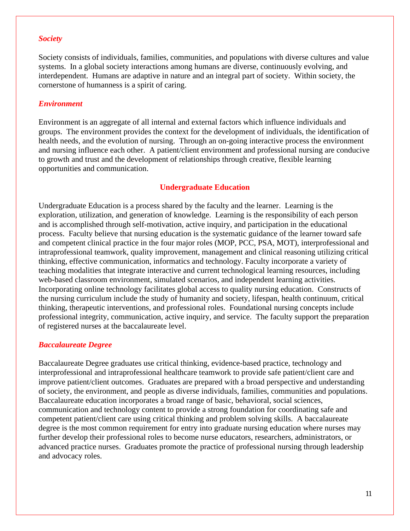#### *Society*

Society consists of individuals, families, communities, and populations with diverse cultures and value systems. In a global society interactions among humans are diverse, continuously evolving, and interdependent. Humans are adaptive in nature and an integral part of society. Within society, the cornerstone of humanness is a spirit of caring.

#### *Environment*

Environment is an aggregate of all internal and external factors which influence individuals and groups. The environment provides the context for the development of individuals, the identification of health needs, and the evolution of nursing. Through an on-going interactive process the environment and nursing influence each other. A patient/client environment and professional nursing are conducive to growth and trust and the development of relationships through creative, flexible learning opportunities and communication.

#### **Undergraduate Education**

Undergraduate Education is a process shared by the faculty and the learner. Learning is the exploration, utilization, and generation of knowledge. Learning is the responsibility of each person and is accomplished through self-motivation, active inquiry, and participation in the educational process. Faculty believe that nursing education is the systematic guidance of the learner toward safe and competent clinical practice in the four major roles (MOP, PCC, PSA, MOT), interprofessional and intraprofessional teamwork, quality improvement, management and clinical reasoning utilizing critical thinking, effective communication, informatics and technology. Faculty incorporate a variety of teaching modalities that integrate interactive and current technological learning resources, including web-based classroom environment, simulated scenarios, and independent learning activities. Incorporating online technology facilitates global access to quality nursing education. Constructs of the nursing curriculum include the study of humanity and society, lifespan, health continuum, critical thinking, therapeutic interventions, and professional roles. Foundational nursing concepts include professional integrity, communication, active inquiry, and service. The faculty support the preparation of registered nurses at the baccalaureate level.

#### *Baccalaureate Degree*

Baccalaureate Degree graduates use critical thinking, evidence-based practice, technology and interprofessional and intraprofessional healthcare teamwork to provide safe patient/client care and improve patient/client outcomes. Graduates are prepared with a broad perspective and understanding of society, the environment, and people as diverse individuals, families, communities and populations. Baccalaureate education incorporates a broad range of basic, behavioral, social sciences, communication and technology content to provide a strong foundation for coordinating safe and competent patient/client care using critical thinking and problem solving skills. A baccalaureate degree is the most common requirement for entry into graduate nursing education where nurses may further develop their professional roles to become nurse educators, researchers, administrators, or advanced practice nurses. Graduates promote the practice of professional nursing through leadership and advocacy roles.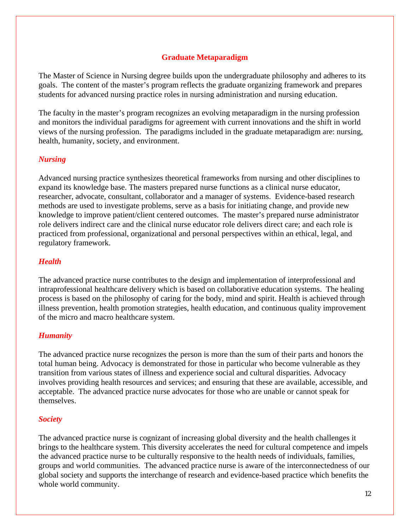### **Graduate Metaparadigm**

The Master of Science in Nursing degree builds upon the undergraduate philosophy and adheres to its goals. The content of the master's program reflects the graduate organizing framework and prepares students for advanced nursing practice roles in nursing administration and nursing education.

The faculty in the master's program recognizes an evolving metaparadigm in the nursing profession and monitors the individual paradigms for agreement with current innovations and the shift in world views of the nursing profession. The paradigms included in the graduate metaparadigm are: nursing, health, humanity, society, and environment.

### *Nursing*

Advanced nursing practice synthesizes theoretical frameworks from nursing and other disciplines to expand its knowledge base. The masters prepared nurse functions as a clinical nurse educator, researcher, advocate, consultant, collaborator and a manager of systems. Evidence-based research methods are used to investigate problems, serve as a basis for initiating change, and provide new knowledge to improve patient/client centered outcomes. The master's prepared nurse administrator role delivers indirect care and the clinical nurse educator role delivers direct care; and each role is practiced from professional, organizational and personal perspectives within an ethical, legal, and regulatory framework.

### *Health*

The advanced practice nurse contributes to the design and implementation of interprofessional and intraprofessional healthcare delivery which is based on collaborative education systems. The healing process is based on the philosophy of caring for the body, mind and spirit. Health is achieved through illness prevention, health promotion strategies, health education, and continuous quality improvement of the micro and macro healthcare system.

### *Humanity*

The advanced practice nurse recognizes the person is more than the sum of their parts and honors the total human being. Advocacy is demonstrated for those in particular who become vulnerable as they transition from various states of illness and experience social and cultural disparities. Advocacy involves providing health resources and services; and ensuring that these are available, accessible, and acceptable. The advanced practice nurse advocates for those who are unable or cannot speak for themselves.

### *Society*

The advanced practice nurse is cognizant of increasing global diversity and the health challenges it brings to the healthcare system. This diversity accelerates the need for cultural competence and impels the advanced practice nurse to be culturally responsive to the health needs of individuals, families, groups and world communities. The advanced practice nurse is aware of the interconnectedness of our global society and supports the interchange of research and evidence-based practice which benefits the whole world community.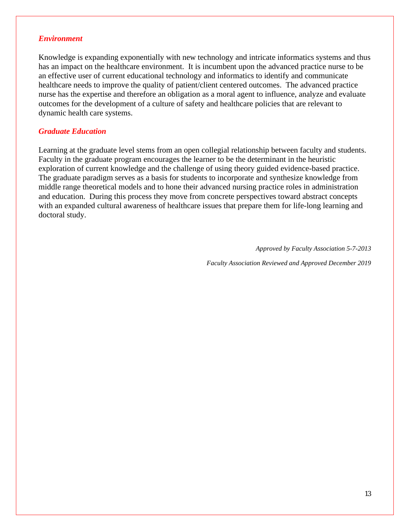#### *Environment*

Knowledge is expanding exponentially with new technology and intricate informatics systems and thus has an impact on the healthcare environment. It is incumbent upon the advanced practice nurse to be an effective user of current educational technology and informatics to identify and communicate healthcare needs to improve the quality of patient/client centered outcomes. The advanced practice nurse has the expertise and therefore an obligation as a moral agent to influence, analyze and evaluate outcomes for the development of a culture of safety and healthcare policies that are relevant to dynamic health care systems.

### *Graduate Education*

Learning at the graduate level stems from an open collegial relationship between faculty and students. Faculty in the graduate program encourages the learner to be the determinant in the heuristic exploration of current knowledge and the challenge of using theory guided evidence-based practice. The graduate paradigm serves as a basis for students to incorporate and synthesize knowledge from middle range theoretical models and to hone their advanced nursing practice roles in administration and education. During this process they move from concrete perspectives toward abstract concepts with an expanded cultural awareness of healthcare issues that prepare them for life-long learning and doctoral study.

*Approved by Faculty Association 5-7-2013*

*Faculty Association Reviewed and Approved December 2019*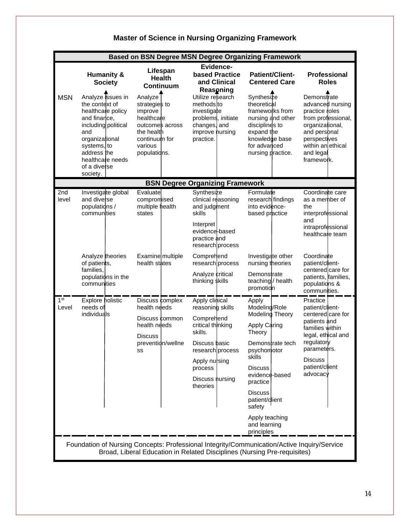|                          |                                                                                                                                                                         | <b>Based on BSN Degree MSN Degree Organizing Framework</b>                                                                                           |                                                                                                                                                                                        |                                                                                                                                                                                                                                                               |                                                                                                                                                                                        |  |  |  |
|--------------------------|-------------------------------------------------------------------------------------------------------------------------------------------------------------------------|------------------------------------------------------------------------------------------------------------------------------------------------------|----------------------------------------------------------------------------------------------------------------------------------------------------------------------------------------|---------------------------------------------------------------------------------------------------------------------------------------------------------------------------------------------------------------------------------------------------------------|----------------------------------------------------------------------------------------------------------------------------------------------------------------------------------------|--|--|--|
| <b>MSN</b>               | <b>Humanity &amp;</b><br><b>Society</b><br>Analyze issues in<br>the context of<br>healthcare policy<br>and finance,<br>including political<br>and<br>organizational     | Lifespan<br><b>Health</b><br><b>Continuum</b><br>Analyze<br>strategies to<br>improve<br>healthcare<br>outcomes across<br>the health<br>continuum for | Evidence-<br><b>based Practice</b><br>and Clinical<br>Reasoning<br>Utilize research<br>methods to<br>investigate<br>problems, initiate<br>changes, and<br>improve nursing<br>practice. | <b>Patient/Client-</b><br><b>Centered Care</b><br>Synthesize<br>theoretical<br>frameworks from<br>nursing and other<br>disciplines to<br>expand the<br>knowledge base                                                                                         | <b>Professional</b><br><b>Roles</b><br>Demonstrate<br>advanced nursing<br>practice roles<br>from professional,<br>organizational,<br>and perspnal<br>perspectives                      |  |  |  |
|                          | systems, to<br>address the<br>healthcare needs<br>of a diverse<br>society.                                                                                              | various<br>populations.                                                                                                                              |                                                                                                                                                                                        | for advanced<br>nursing practice.                                                                                                                                                                                                                             | within an ethical<br>and legal<br>framewo <b>r</b> k.                                                                                                                                  |  |  |  |
|                          |                                                                                                                                                                         |                                                                                                                                                      | <b>BSN Degree Organizing Framework</b>                                                                                                                                                 |                                                                                                                                                                                                                                                               |                                                                                                                                                                                        |  |  |  |
| 2nd<br>level             | Investigate global<br>and diverse<br>populations /<br>communities                                                                                                       | Evaluate<br>compromised<br>multiple health<br>states                                                                                                 | Synthesize<br>clinical reasoning<br>and judgment<br>skills<br>Interpret<br>evidence-based<br>practice and                                                                              | Formulate<br>research findings<br>into evidence-<br>based practice                                                                                                                                                                                            | Coordinate care<br>as a member of<br>the<br>interprofessional<br>and<br>intraprofessional<br>healthcare team                                                                           |  |  |  |
|                          | Analyze theories<br>of patients,<br>families,<br>populations in the<br>communities                                                                                      | Examine multiple<br>health states                                                                                                                    | research process<br>Comprehend<br>research process<br>Analyze critical<br>thinking skills                                                                                              | Investigate other<br>nursing theories<br>Demonstrate<br>teaching/ health<br>promotion                                                                                                                                                                         | Coordinate<br>patient/client-<br>centered care for<br>patients, families,<br>populations &<br>communities.                                                                             |  |  |  |
| 1 <sup>st</sup><br>Level | Explore holistic<br>needs of<br>individuals                                                                                                                             | Discuss complex<br>health needs<br>Discuss common<br>health needs<br><b>Discuss</b><br>prevention/wellne<br>SS                                       | Apply clinical<br>reasoning skills<br>Comprehend<br>critical thinking<br>skills.<br>Discuss basic<br>research process<br>Apply nursing<br>process<br>Discuss nursing<br>theories       | Apply<br>Modeling/Role<br>Modeling Theory<br>Apply Caring<br>Theory<br>Demonstrate tech<br>psychomotor<br>skills<br><b>Discuss</b><br>evidence-based<br>practice<br><b>Discuss</b><br>patient/dient<br>safety<br>Apply teaching<br>and learning<br>principles | Practice<br>patient/client-<br>centered care for<br>patients and<br>families within<br>legal, ethical and<br>regulatory<br>parameters.<br><b>Discuss</b><br>patient/client<br>advocacy |  |  |  |
|                          | Foundation of Nursing Concepts: Professional Integrity/Communication/Active Inquiry/Service<br>Broad, Liberal Education in Related Disciplines (Nursing Pre-requisites) |                                                                                                                                                      |                                                                                                                                                                                        |                                                                                                                                                                                                                                                               |                                                                                                                                                                                        |  |  |  |

# **Master of Science in Nursing Organizing Framework**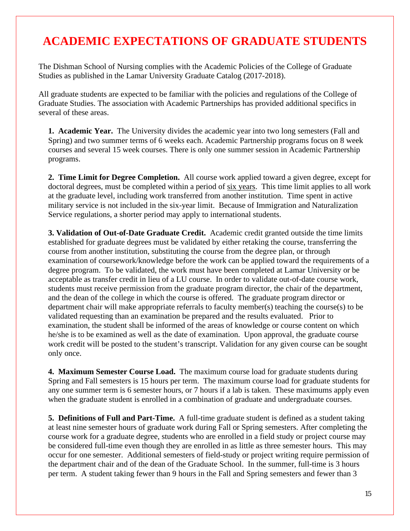# **ACADEMIC EXPECTATIONS OF GRADUATE STUDENTS**

The Dishman School of Nursing complies with the Academic Policies of the College of Graduate Studies as published in the Lamar University Graduate Catalog (2017-2018).

All graduate students are expected to be familiar with the policies and regulations of the College of Graduate Studies. The association with Academic Partnerships has provided additional specifics in several of these areas.

**1. Academic Year.** The University divides the academic year into two long semesters (Fall and Spring) and two summer terms of 6 weeks each. Academic Partnership programs focus on 8 week courses and several 15 week courses. There is only one summer session in Academic Partnership programs.

**2. Time Limit for Degree Completion.** All course work applied toward a given degree, except for doctoral degrees, must be completed within a period of six years. This time limit applies to all work at the graduate level, including work transferred from another institution. Time spent in active military service is not included in the six-year limit. Because of Immigration and Naturalization Service regulations, a shorter period may apply to international students.

**3. Validation of Out-of-Date Graduate Credit.** Academic credit granted outside the time limits established for graduate degrees must be validated by either retaking the course, transferring the course from another institution, substituting the course from the degree plan, or through examination of coursework/knowledge before the work can be applied toward the requirements of a degree program. To be validated, the work must have been completed at Lamar University or be acceptable as transfer credit in lieu of a LU course. In order to validate out-of-date course work, students must receive permission from the graduate program director, the chair of the department, and the dean of the college in which the course is offered. The graduate program director or department chair will make appropriate referrals to faculty member(s) teaching the course(s) to be validated requesting than an examination be prepared and the results evaluated. Prior to examination, the student shall be informed of the areas of knowledge or course content on which he/she is to be examined as well as the date of examination. Upon approval, the graduate course work credit will be posted to the student's transcript. Validation for any given course can be sought only once.

**4. Maximum Semester Course Load.** The maximum course load for graduate students during Spring and Fall semesters is 15 hours per term. The maximum course load for graduate students for any one summer term is 6 semester hours, or 7 hours if a lab is taken. These maximums apply even when the graduate student is enrolled in a combination of graduate and undergraduate courses.

**5. Definitions of Full and Part-Time.** A full-time graduate student is defined as a student taking at least nine semester hours of graduate work during Fall or Spring semesters. After completing the course work for a graduate degree, students who are enrolled in a field study or project course may be considered full-time even though they are enrolled in as little as three semester hours. This may occur for one semester. Additional semesters of field-study or project writing require permission of the department chair and of the dean of the Graduate School. In the summer, full-time is 3 hours per term. A student taking fewer than 9 hours in the Fall and Spring semesters and fewer than 3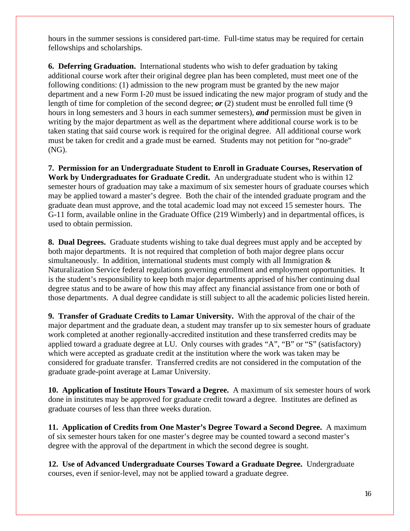hours in the summer sessions is considered part-time. Full-time status may be required for certain fellowships and scholarships.

**6. Deferring Graduation.** International students who wish to defer graduation by taking additional course work after their original degree plan has been completed, must meet one of the following conditions: (1) admission to the new program must be granted by the new major department and a new Form I-20 must be issued indicating the new major program of study and the length of time for completion of the second degree; *or* (2) student must be enrolled full time (9 hours in long semesters and 3 hours in each summer semesters), *and* permission must be given in writing by the major department as well as the department where additional course work is to be taken stating that said course work is required for the original degree. All additional course work must be taken for credit and a grade must be earned. Students may not petition for "no-grade" (NG).

**7. Permission for an Undergraduate Student to Enroll in Graduate Courses, Reservation of Work by Undergraduates for Graduate Credit.** An undergraduate student who is within 12 semester hours of graduation may take a maximum of six semester hours of graduate courses which may be applied toward a master's degree. Both the chair of the intended graduate program and the graduate dean must approve, and the total academic load may not exceed 15 semester hours. The G-11 form, available online in the Graduate Office (219 Wimberly) and in departmental offices, is used to obtain permission.

**8. Dual Degrees.** Graduate students wishing to take dual degrees must apply and be accepted by both major departments. It is not required that completion of both major degree plans occur simultaneously. In addition, international students must comply with all Immigration  $\&$ Naturalization Service federal regulations governing enrollment and employment opportunities. It is the student's responsibility to keep both major departments apprised of his/her continuing dual degree status and to be aware of how this may affect any financial assistance from one or both of those departments. A dual degree candidate is still subject to all the academic policies listed herein.

**9. Transfer of Graduate Credits to Lamar University.** With the approval of the chair of the major department and the graduate dean, a student may transfer up to six semester hours of graduate work completed at another regionally-accredited institution and these transferred credits may be applied toward a graduate degree at LU. Only courses with grades "A", "B" or "S" (satisfactory) which were accepted as graduate credit at the institution where the work was taken may be considered for graduate transfer. Transferred credits are not considered in the computation of the graduate grade-point average at Lamar University.

**10. Application of Institute Hours Toward a Degree.** A maximum of six semester hours of work done in institutes may be approved for graduate credit toward a degree. Institutes are defined as graduate courses of less than three weeks duration.

**11. Application of Credits from One Master's Degree Toward a Second Degree.** A maximum of six semester hours taken for one master's degree may be counted toward a second master's degree with the approval of the department in which the second degree is sought.

**12. Use of Advanced Undergraduate Courses Toward a Graduate Degree.** Undergraduate courses, even if senior-level, may not be applied toward a graduate degree.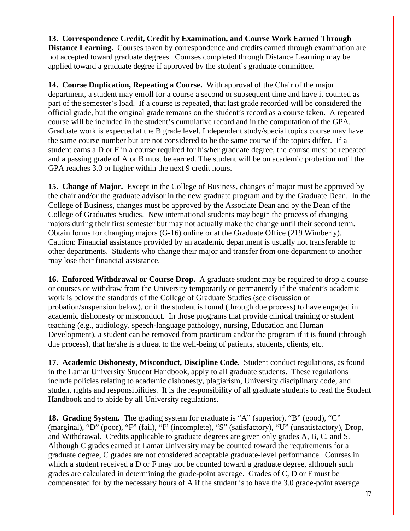**13. Correspondence Credit, Credit by Examination, and Course Work Earned Through Distance Learning.** Courses taken by correspondence and credits earned through examination are not accepted toward graduate degrees. Courses completed through Distance Learning may be applied toward a graduate degree if approved by the student's graduate committee.

**14. Course Duplication, Repeating a Course.** With approval of the Chair of the major department, a student may enroll for a course a second or subsequent time and have it counted as part of the semester's load. If a course is repeated, that last grade recorded will be considered the official grade, but the original grade remains on the student's record as a course taken. A repeated course will be included in the student's cumulative record and in the computation of the GPA. Graduate work is expected at the B grade level. Independent study/special topics course may have the same course number but are not considered to be the same course if the topics differ. If a student earns a D or F in a course required for his/her graduate degree, the course must be repeated and a passing grade of A or B must be earned. The student will be on academic probation until the GPA reaches 3.0 or higher within the next 9 credit hours.

**15. Change of Major.** Except in the College of Business, changes of major must be approved by the chair and/or the graduate advisor in the new graduate program and by the Graduate Dean. In the College of Business, changes must be approved by the Associate Dean and by the Dean of the College of Graduates Studies. New international students may begin the process of changing majors during their first semester but may not actually make the change until their second term. Obtain forms for changing majors (G-16) online or at the Graduate Office (219 Wimberly). Caution: Financial assistance provided by an academic department is usually not transferable to other departments. Students who change their major and transfer from one department to another may lose their financial assistance.

**16. Enforced Withdrawal or Course Drop.** A graduate student may be required to drop a course or courses or withdraw from the University temporarily or permanently if the student's academic work is below the standards of the College of Graduate Studies (see discussion of probation/suspension below), or if the student is found (through due process) to have engaged in academic dishonesty or misconduct. In those programs that provide clinical training or student teaching (e.g., audiology, speech-language pathology, nursing, Education and Human Development), a student can be removed from practicum and/or the program if it is found (through due process), that he/she is a threat to the well-being of patients, students, clients, etc.

**17. Academic Dishonesty, Misconduct, Discipline Code.** Student conduct regulations, as found in the Lamar University Student Handbook, apply to all graduate students. These regulations include policies relating to academic dishonesty, plagiarism, University disciplinary code, and student rights and responsibilities. It is the responsibility of all graduate students to read the Student Handbook and to abide by all University regulations.

**18. Grading System.** The grading system for graduate is "A" (superior), "B" (good), "C" (marginal), "D" (poor), "F" (fail), "I" (incomplete), "S" (satisfactory), "U" (unsatisfactory), Drop, and Withdrawal. Credits applicable to graduate degrees are given only grades A, B, C, and S. Although C grades earned at Lamar University may be counted toward the requirements for a graduate degree, C grades are not considered acceptable graduate-level performance. Courses in which a student received a D or F may not be counted toward a graduate degree, although such grades are calculated in determining the grade-point average. Grades of C, D or F must be compensated for by the necessary hours of A if the student is to have the 3.0 grade-point average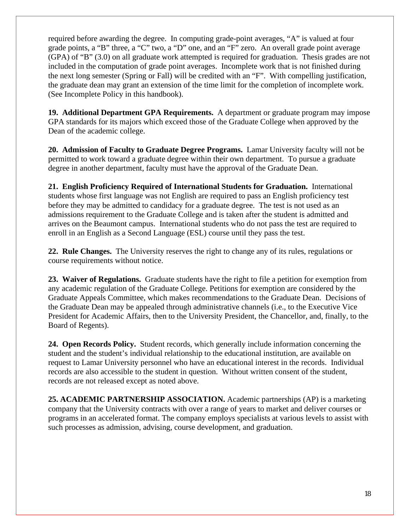required before awarding the degree. In computing grade-point averages, "A" is valued at four grade points, a "B" three, a "C" two, a "D" one, and an "F" zero. An overall grade point average (GPA) of "B" (3.0) on all graduate work attempted is required for graduation. Thesis grades are not included in the computation of grade point averages. Incomplete work that is not finished during the next long semester (Spring or Fall) will be credited with an "F". With compelling justification, the graduate dean may grant an extension of the time limit for the completion of incomplete work. (See Incomplete Policy in this handbook).

**19. Additional Department GPA Requirements.** A department or graduate program may impose GPA standards for its majors which exceed those of the Graduate College when approved by the Dean of the academic college.

**20. Admission of Faculty to Graduate Degree Programs.** Lamar University faculty will not be permitted to work toward a graduate degree within their own department. To pursue a graduate degree in another department, faculty must have the approval of the Graduate Dean.

**21. English Proficiency Required of International Students for Graduation.** International students whose first language was not English are required to pass an English proficiency test before they may be admitted to candidacy for a graduate degree. The test is not used as an admissions requirement to the Graduate College and is taken after the student is admitted and arrives on the Beaumont campus. International students who do not pass the test are required to enroll in an English as a Second Language (ESL) course until they pass the test.

**22. Rule Changes.** The University reserves the right to change any of its rules, regulations or course requirements without notice.

**23. Waiver of Regulations.** Graduate students have the right to file a petition for exemption from any academic regulation of the Graduate College. Petitions for exemption are considered by the Graduate Appeals Committee, which makes recommendations to the Graduate Dean. Decisions of the Graduate Dean may be appealed through administrative channels (i.e., to the Executive Vice President for Academic Affairs, then to the University President, the Chancellor, and, finally, to the Board of Regents).

**24. Open Records Policy.** Student records, which generally include information concerning the student and the student's individual relationship to the educational institution, are available on request to Lamar University personnel who have an educational interest in the records. Individual records are also accessible to the student in question. Without written consent of the student, records are not released except as noted above.

**25. ACADEMIC PARTNERSHIP ASSOCIATION.** Academic partnerships (AP) is a marketing company that the University contracts with over a range of years to market and deliver courses or programs in an accelerated format. The company employs specialists at various levels to assist with such processes as admission, advising, course development, and graduation.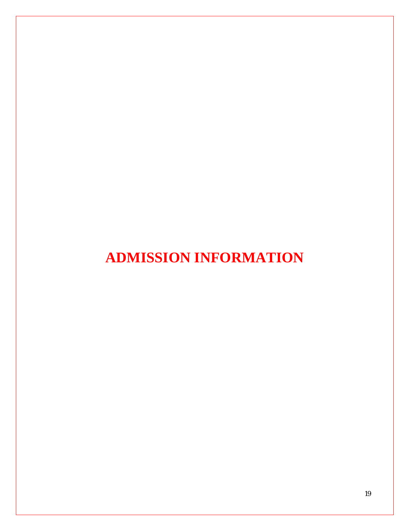# **ADMISSION INFORMATION**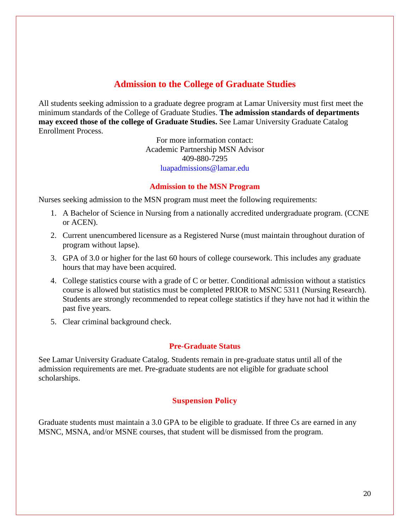# **Admission to the College of Graduate Studies**

All students seeking admission to a graduate degree program at Lamar University must first meet the minimum standards of the College of Graduate Studies. **The admission standards of departments may exceed those of the college of Graduate Studies.** See Lamar University Graduate Catalog Enrollment Process.

> For more information contact: Academic Partnership MSN Advisor 409-880-7295 luapadmissions@lamar.edu

### **Admission to the MSN Program**

Nurses seeking admission to the MSN program must meet the following requirements:

- 1. A Bachelor of Science in Nursing from a nationally accredited undergraduate program. (CCNE or ACEN).
- 2. Current unencumbered licensure as a Registered Nurse (must maintain throughout duration of program without lapse).
- 3. GPA of 3.0 or higher for the last 60 hours of college coursework. This includes any graduate hours that may have been acquired.
- 4. College statistics course with a grade of C or better. Conditional admission without a statistics course is allowed but statistics must be completed PRIOR to MSNC 5311 (Nursing Research). Students are strongly recommended to repeat college statistics if they have not had it within the past five years.
- 5. Clear criminal background check.

### **Pre-Graduate Status**

See Lamar University Graduate Catalog. Students remain in pre-graduate status until all of the admission requirements are met. Pre-graduate students are not eligible for graduate school scholarships.

### **Suspension Policy**

Graduate students must maintain a 3.0 GPA to be eligible to graduate. If three Cs are earned in any MSNC, MSNA, and/or MSNE courses, that student will be dismissed from the program.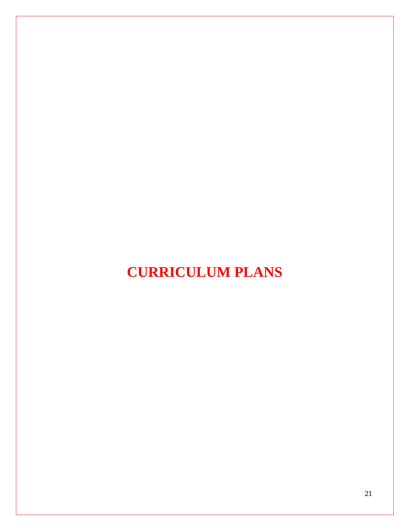# **CURRICULUM PLANS**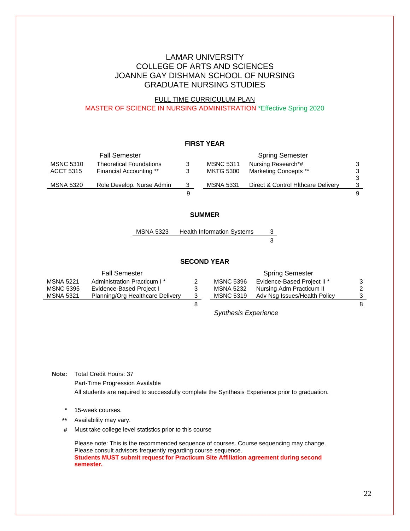### LAMAR UNIVERSITY COLLEGE OF ARTS AND SCIENCES JOANNE GAY DISHMAN SCHOOL OF NURSING GRADUATE NURSING STUDIES

#### FULL TIME CURRICULUM PLAN MASTER OF SCIENCE IN NURSING ADMINISTRATION \*Effective Spring 2020

#### **FIRST YEAR**

|                  | <b>Fall Semester</b>           |                  | <b>Spring Semester</b>             |   |
|------------------|--------------------------------|------------------|------------------------------------|---|
| <b>MSNC 5310</b> | <b>Theoretical Foundations</b> | <b>MSNC 5311</b> | Nursing Research*#                 | 3 |
| <b>ACCT 5315</b> | Financial Accounting **        | MKTG 5300        | <b>Marketing Concepts **</b>       | 3 |
|                  |                                |                  |                                    | 3 |
| MSNA 5320        | Role Develop, Nurse Admin      | <b>MSNA 5331</b> | Direct & Control Hithcare Delivery | 3 |
|                  |                                |                  |                                    | 9 |

#### **SUMMER**

MSNA 5323 Health Information Systems 3

3

#### **SECOND YEAR**

|                  | <b>Fall Semester</b>                    |                  | <b>Spring Semester</b>       |   |
|------------------|-----------------------------------------|------------------|------------------------------|---|
| <b>MSNA 5221</b> | Administration Practicum I <sup>*</sup> | <b>MSNC 5396</b> | Evidence-Based Project II *  | 3 |
| <b>MSNC 5395</b> | Evidence-Based Project I                | MSNA 5232        | Nursing Adm Practicum II     | 2 |
| MSNA 5321        | Planning/Org Healthcare Delivery        | <b>MSNC 5319</b> | Adv Nsg Issues/Health Policy |   |
|                  |                                         |                  |                              | 8 |

*Synthesis Experience*

**Note:** Total Credit Hours: 37

Part-Time Progression Available

All students are required to successfully complete the Synthesis Experience prior to graduation.

**\*** 15-week courses.

**\*\*** Availability may vary.

**#** Must take college level statistics prior to this course

Please note: This is the recommended sequence of courses. Course sequencing may change. Please consult advisors frequently regarding course sequence. **Students MUST submit request for Practicum Site Affiliation agreement during second semester.**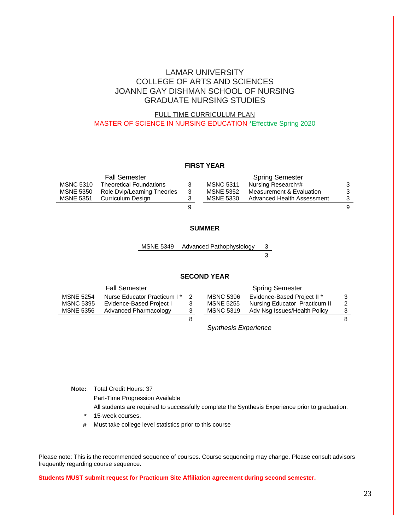## LAMAR UNIVERSITY COLLEGE OF ARTS AND SCIENCES JOANNE GAY DISHMAN SCHOOL OF NURSING GRADUATE NURSING STUDIES

### FULL TIME CURRICULUM PLAN MASTER OF SCIENCE IN NURSING EDUCATION \*Effective Spring 2020

#### **FIRST YEAR**

|                  | <b>Fall Semester</b>           |   |                  | <b>Spring Semester</b>     |   |
|------------------|--------------------------------|---|------------------|----------------------------|---|
| <b>MSNC 5310</b> | <b>Theoretical Foundations</b> | 3 | <b>MSNC 5311</b> | Nursing Research*#         |   |
| <b>MSNE 5350</b> | Role Dylp/Learning Theories    | 3 | <b>MSNE 5352</b> | Measurement & Evaluation   | 3 |
| <b>MSNE 5351</b> | Curriculum Design              |   | MSNE 5330        | Advanced Health Assessment | 3 |
|                  |                                |   |                  |                            | 9 |

#### **SUMMER**

MSNE 5349 Advanced Pathophysiology 3 3

#### **SECOND YEAR**

|                  | <b>Fall Semester</b>        |   |                  | <b>Spring Semester</b>        |    |
|------------------|-----------------------------|---|------------------|-------------------------------|----|
| <b>MSNE 5254</b> | Nurse Educator Practicum I* |   | <b>MSNC 5396</b> | Evidence-Based Project II *   | 3  |
| <b>MSNC 5395</b> | Evidence-Based Project I    | 3 | <b>MSNE 5255</b> | Nursing Educator Practicum II | 2  |
| MSNE 5356        | Advanced Pharmacology       | 3 | <b>MSNC 5319</b> | Adv Nsg Issues/Health Policy  | 3  |
|                  |                             |   |                  |                               | 8. |

*Synthesis Experience*

**Note:** Total Credit Hours: 37 Part-Time Progression Available All students are required to successfully complete the Synthesis Experience prior to graduation.

- **\*** 15-week courses.
- **#** Must take college level statistics prior to this course

Please note: This is the recommended sequence of courses. Course sequencing may change. Please consult advisors frequently regarding course sequence.

**Students MUST submit request for Practicum Site Affiliation agreement during second semester.**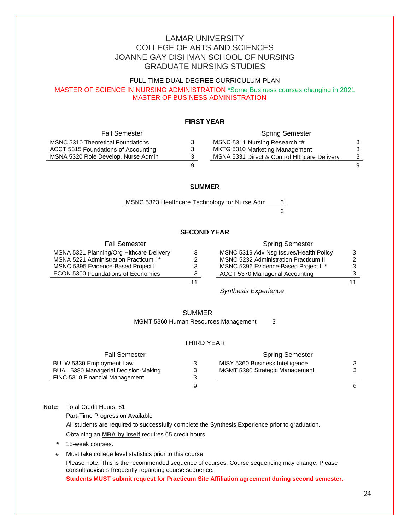# LAMAR UNIVERSITY COLLEGE OF ARTS AND SCIENCES JOANNE GAY DISHMAN SCHOOL OF NURSING GRADUATE NURSING STUDIES

### FULL TIME DUAL DEGREE CURRICULUM PLAN

MASTER OF SCIENCE IN NURSING ADMINISTRATION \*Some Business courses changing in 2021 MASTER OF BUSINESS ADMINISTRATION

### **FIRST YEAR**

| <b>Fall Semester</b>                     |   | <b>Spring Semester</b>                       |   |
|------------------------------------------|---|----------------------------------------------|---|
| <b>MSNC 5310 Theoretical Foundations</b> | 3 | MSNC 5311 Nursing Research *#                |   |
| ACCT 5315 Foundations of Accounting      | 3 | MKTG 5310 Marketing Management               |   |
| MSNA 5320 Role Develop. Nurse Admin      | 3 | MSNA 5331 Direct & Control Hithcare Delivery | 3 |
|                                          | 9 |                                              | 9 |

#### **SUMMER**

MSNC 5323 Healthcare Technology for Nurse Adm 3

3

#### **SECOND YEAR**

| <b>Fall Semester</b>                     | <b>Spring Semester</b>                       |               |
|------------------------------------------|----------------------------------------------|---------------|
| MSNA 5321 Planning/Org Hithcare Delivery | MSNC 5319 Adv Nsg Issues/Health Policy       | 3             |
| MSNA 5221 Administration Practicum I*    | <b>MSNC 5232 Administration Practicum II</b> | $\mathcal{P}$ |
| MSNC 5395 Evidence-Based Project I       | MSNC 5396 Evidence-Based Project II *        | 3             |
| ECON 5300 Foundations of Economics       | ACCT 5370 Managerial Accounting              | 3             |
|                                          |                                              | 11            |

*Synthesis Experience*

#### SUMMER

MGMT 5360 Human Resources Management 3

#### THIRD YEAR

| <b>Fall Semester</b>                 | <b>Spring Semester</b>          |   |
|--------------------------------------|---------------------------------|---|
| BULW 5330 Employment Law             | MISY 5360 Business Intelligence |   |
| BUAL 5380 Managerial Decision-Making | MGMT 5380 Strategic Management  |   |
| FINC 5310 Financial Management       |                                 |   |
|                                      |                                 | 6 |

**Note:** Total Credit Hours: 61

Part-Time Progression Available

All students are required to successfully complete the Synthesis Experience prior to graduation.

Obtaining an **MBA by itself** requires 65 credit hours.

- **\*** 15-week courses.
- # Must take college level statistics prior to this course

Please note: This is the recommended sequence of courses. Course sequencing may change. Please consult advisors frequently regarding course sequence.

**Students MUST submit request for Practicum Site Affiliation agreement during second semester.**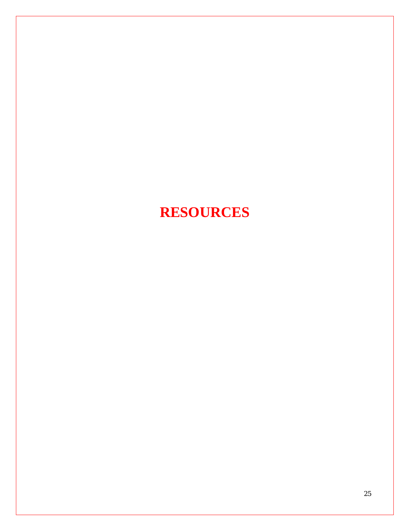# **RESOURCES**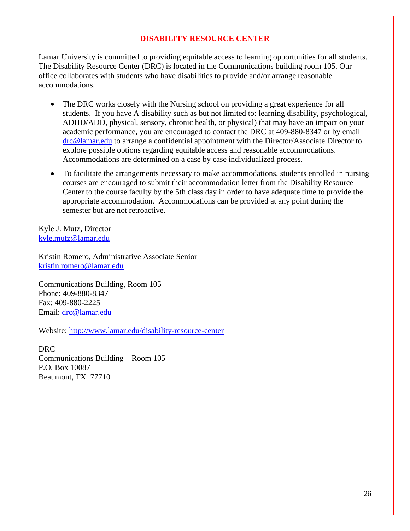# **DISABILITY RESOURCE CENTER**

Lamar University is committed to providing equitable access to learning opportunities for all students. The Disability Resource Center (DRC) is located in the Communications building room 105. Our office collaborates with students who have disabilities to provide and/or arrange reasonable accommodations.

- The DRC works closely with the Nursing school on providing a great experience for all students. If you have A disability such as but not limited to: learning disability, psychological, ADHD/ADD, physical, sensory, chronic health, or physical) that may have an impact on your academic performance, you are encouraged to contact the DRC at 409-880-8347 or by email [drc@lamar.edu](mailto:drc@lamar.edu) to arrange a confidential appointment with the Director/Associate Director to explore possible options regarding equitable access and reasonable accommodations. Accommodations are determined on a case by case individualized process.
- To facilitate the arrangements necessary to make accommodations, students enrolled in nursing courses are encouraged to submit their accommodation letter from the Disability Resource Center to the course faculty by the 5th class day in order to have adequate time to provide the appropriate accommodation. Accommodations can be provided at any point during the semester but are not retroactive.

Kyle J. Mutz, Director [kyle.mutz@lamar.edu](mailto:kyle.mutz@lamar.edu)

Kristin Romero, Administrative Associate Senior [kristin.romero@lamar.edu](mailto:kristin.romero@lamar.edu)

Communications Building, Room 105 Phone: 409-880-8347 Fax: 409-880-2225 Email: [drc@lamar.edu](mailto:drc@lamar.edu)

Website:<http://www.lamar.edu/disability-resource-center>

DRC Communications Building – Room 105 P.O. Box 10087 Beaumont, TX 77710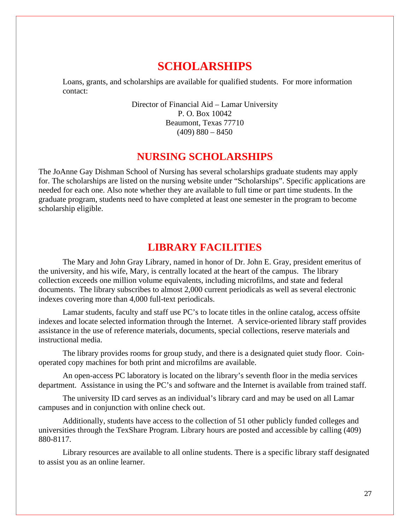# **SCHOLARSHIPS**

Loans, grants, and scholarships are available for qualified students. For more information contact:

> Director of Financial Aid – Lamar University P. O. Box 10042 Beaumont, Texas 77710  $(409)$  880 – 8450

# **NURSING SCHOLARSHIPS**

The JoAnne Gay Dishman School of Nursing has several scholarships graduate students may apply for. The scholarships are listed on the nursing website under "Scholarships". Specific applications are needed for each one. Also note whether they are available to full time or part time students. In the graduate program, students need to have completed at least one semester in the program to become scholarship eligible.

# **LIBRARY FACILITIES**

The Mary and John Gray Library, named in honor of Dr. John E. Gray, president emeritus of the university, and his wife, Mary, is centrally located at the heart of the campus. The library collection exceeds one million volume equivalents, including microfilms, and state and federal documents. The library subscribes to almost 2,000 current periodicals as well as several electronic indexes covering more than 4,000 full-text periodicals.

Lamar students, faculty and staff use PC's to locate titles in the online catalog, access offsite indexes and locate selected information through the Internet. A service-oriented library staff provides assistance in the use of reference materials, documents, special collections, reserve materials and instructional media.

The library provides rooms for group study, and there is a designated quiet study floor. Coinoperated copy machines for both print and microfilms are available.

An open-access PC laboratory is located on the library's seventh floor in the media services department. Assistance in using the PC's and software and the Internet is available from trained staff.

The university ID card serves as an individual's library card and may be used on all Lamar campuses and in conjunction with online check out.

Additionally, students have access to the collection of 51 other publicly funded colleges and universities through the TexShare Program. Library hours are posted and accessible by calling (409) 880-8117.

Library resources are available to all online students. There is a specific library staff designated to assist you as an online learner.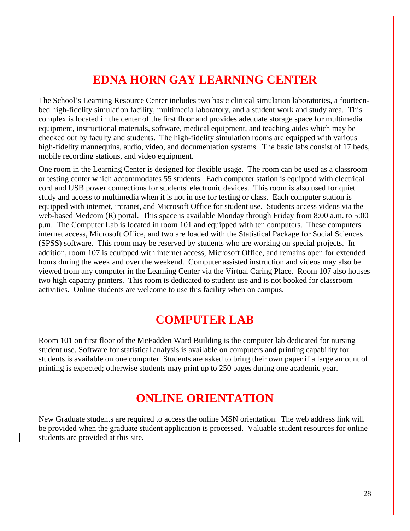# **EDNA HORN GAY LEARNING CENTER**

The School's Learning Resource Center includes two basic clinical simulation laboratories, a fourteenbed high-fidelity simulation facility, multimedia laboratory, and a student work and study area. This complex is located in the center of the first floor and provides adequate storage space for multimedia equipment, instructional materials, software, medical equipment, and teaching aides which may be checked out by faculty and students. The high-fidelity simulation rooms are equipped with various high-fidelity mannequins, audio, video, and documentation systems. The basic labs consist of 17 beds, mobile recording stations, and video equipment.

One room in the Learning Center is designed for flexible usage. The room can be used as a classroom or testing center which accommodates 55 students. Each computer station is equipped with electrical cord and USB power connections for students' electronic devices. This room is also used for quiet study and access to multimedia when it is not in use for testing or class. Each computer station is equipped with internet, intranet, and Microsoft Office for student use. Students access videos via the web-based Medcom (R) portal. This space is available Monday through Friday from 8:00 a.m. to 5:00 p.m. The Computer Lab is located in room 101 and equipped with ten computers. These computers internet access, Microsoft Office, and two are loaded with the Statistical Package for Social Sciences (SPSS) software. This room may be reserved by students who are working on special projects. In addition, room 107 is equipped with internet access, Microsoft Office, and remains open for extended hours during the week and over the weekend. Computer assisted instruction and videos may also be viewed from any computer in the Learning Center via the Virtual Caring Place. Room 107 also houses two high capacity printers. This room is dedicated to student use and is not booked for classroom activities. Online students are welcome to use this facility when on campus.

# **COMPUTER LAB**

Room 101 on first floor of the McFadden Ward Building is the computer lab dedicated for nursing student use. Software for statistical analysis is available on computers and printing capability for students is available on one computer. Students are asked to bring their own paper if a large amount of printing is expected; otherwise students may print up to 250 pages during one academic year.

# **ONLINE ORIENTATION**

New Graduate students are required to access the online MSN orientation. The web address link will be provided when the graduate student application is processed. Valuable student resources for online students are provided at this site.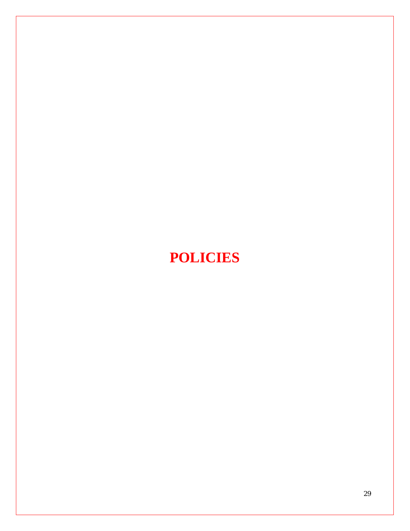# **POLICIES**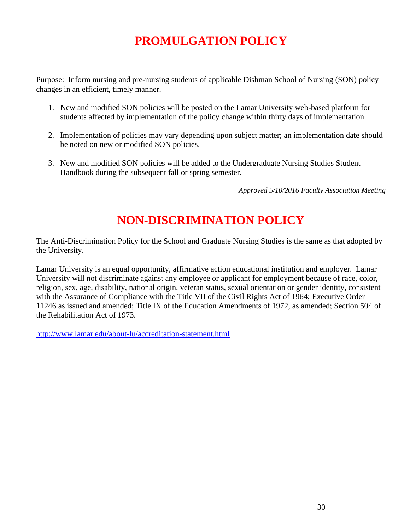# **PROMULGATION POLICY**

Purpose: Inform nursing and pre-nursing students of applicable Dishman School of Nursing (SON) policy changes in an efficient, timely manner.

- 1. New and modified SON policies will be posted on the Lamar University web-based platform for students affected by implementation of the policy change within thirty days of implementation.
- 2. Implementation of policies may vary depending upon subject matter; an implementation date should be noted on new or modified SON policies.
- 3. New and modified SON policies will be added to the Undergraduate Nursing Studies Student Handbook during the subsequent fall or spring semester.

*Approved 5/10/2016 Faculty Association Meeting*

# **NON-DISCRIMINATION POLICY**

The Anti-Discrimination Policy for the School and Graduate Nursing Studies is the same as that adopted by the University.

Lamar University is an equal opportunity, affirmative action educational institution and employer. Lamar University will not discriminate against any employee or applicant for employment because of race, color, religion, sex, age, disability, national origin, veteran status, sexual orientation or gender identity, consistent with the Assurance of Compliance with the Title VII of the Civil Rights Act of 1964; Executive Order 11246 as issued and amended; Title IX of the Education Amendments of 1972, as amended; Section 504 of the Rehabilitation Act of 1973.

<http://www.lamar.edu/about-lu/accreditation-statement.html>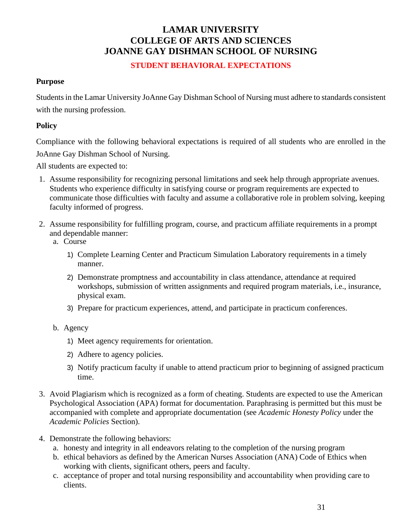# **LAMAR UNIVERSITY COLLEGE OF ARTS AND SCIENCES JOANNE GAY DISHMAN SCHOOL OF NURSING**

# **STUDENT BEHAVIORAL EXPECTATIONS**

### **Purpose**

Students in the Lamar University JoAnne Gay Dishman School of Nursing must adhere to standards consistent with the nursing profession.

### **Policy**

Compliance with the following behavioral expectations is required of all students who are enrolled in the JoAnne Gay Dishman School of Nursing.

All students are expected to:

- 1. Assume responsibility for recognizing personal limitations and seek help through appropriate avenues. Students who experience difficulty in satisfying course or program requirements are expected to communicate those difficulties with faculty and assume a collaborative role in problem solving, keeping faculty informed of progress.
- 2. Assume responsibility for fulfilling program, course, and practicum affiliate requirements in a prompt and dependable manner:
	- a. Course
		- 1) Complete Learning Center and Practicum Simulation Laboratory requirements in a timely manner.
		- 2) Demonstrate promptness and accountability in class attendance, attendance at required workshops, submission of written assignments and required program materials, i.e., insurance, physical exam.
		- 3) Prepare for practicum experiences, attend, and participate in practicum conferences.
	- b. Agency
		- 1) Meet agency requirements for orientation.
		- 2) Adhere to agency policies.
		- 3) Notify practicum faculty if unable to attend practicum prior to beginning of assigned practicum time.
- 3. Avoid Plagiarism which is recognized as a form of cheating. Students are expected to use the American Psychological Association (APA) format for documentation. Paraphrasing is permitted but this must be accompanied with complete and appropriate documentation (see *Academic Honesty Policy* under the *Academic Policies* Section).
- 4. Demonstrate the following behaviors:
	- a. honesty and integrity in all endeavors relating to the completion of the nursing program
	- b. ethical behaviors as defined by the American Nurses Association (ANA) Code of Ethics when working with clients, significant others, peers and faculty.
	- c. acceptance of proper and total nursing responsibility and accountability when providing care to clients.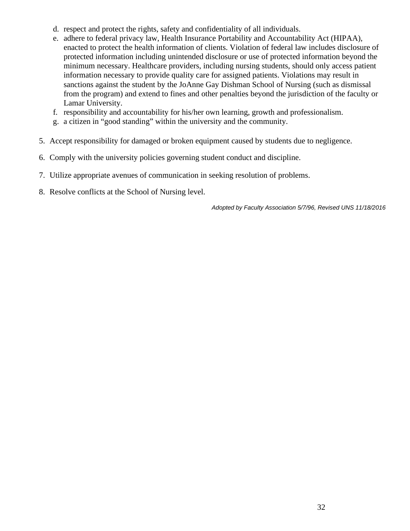- d. respect and protect the rights, safety and confidentiality of all individuals.
- e. adhere to federal privacy law, Health Insurance Portability and Accountability Act (HIPAA), enacted to protect the health information of clients. Violation of federal law includes disclosure of protected information including unintended disclosure or use of protected information beyond the minimum necessary. Healthcare providers, including nursing students, should only access patient information necessary to provide quality care for assigned patients. Violations may result in sanctions against the student by the JoAnne Gay Dishman School of Nursing (such as dismissal from the program) and extend to fines and other penalties beyond the jurisdiction of the faculty or Lamar University.
- f. responsibility and accountability for his/her own learning, growth and professionalism.
- g. a citizen in "good standing" within the university and the community.
- 5. Accept responsibility for damaged or broken equipment caused by students due to negligence.
- 6. Comply with the university policies governing student conduct and discipline.
- 7. Utilize appropriate avenues of communication in seeking resolution of problems.
- 8. Resolve conflicts at the School of Nursing level.

*Adopted by Faculty Association 5/7/96, Revised UNS 11/18/2016*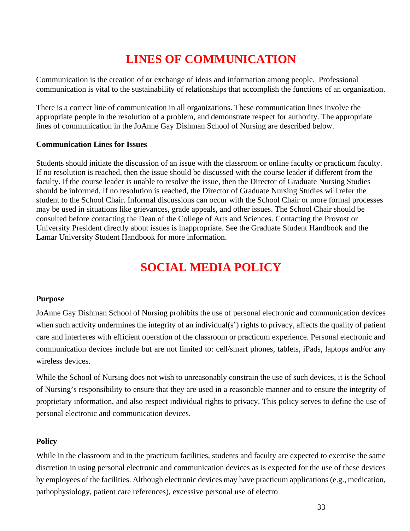# **LINES OF COMMUNICATION**

Communication is the creation of or exchange of ideas and information among people. Professional communication is vital to the sustainability of relationships that accomplish the functions of an organization.

There is a correct line of communication in all organizations. These communication lines involve the appropriate people in the resolution of a problem, and demonstrate respect for authority. The appropriate lines of communication in the JoAnne Gay Dishman School of Nursing are described below.

### **Communication Lines for Issues**

Students should initiate the discussion of an issue with the classroom or online faculty or practicum faculty. If no resolution is reached, then the issue should be discussed with the course leader if different from the faculty. If the course leader is unable to resolve the issue, then the Director of Graduate Nursing Studies should be informed. If no resolution is reached, the Director of Graduate Nursing Studies will refer the student to the School Chair. Informal discussions can occur with the School Chair or more formal processes may be used in situations like grievances, grade appeals, and other issues. The School Chair should be consulted before contacting the Dean of the College of Arts and Sciences. Contacting the Provost or University President directly about issues is inappropriate. See the Graduate Student Handbook and the Lamar University Student Handbook for more information.

# **SOCIAL MEDIA POLICY**

# **Purpose**

JoAnne Gay Dishman School of Nursing prohibits the use of personal electronic and communication devices when such activity undermines the integrity of an individual(s') rights to privacy, affects the quality of patient care and interferes with efficient operation of the classroom or practicum experience. Personal electronic and communication devices include but are not limited to: cell/smart phones, tablets, iPads, laptops and/or any wireless devices.

While the School of Nursing does not wish to unreasonably constrain the use of such devices, it is the School of Nursing's responsibility to ensure that they are used in a reasonable manner and to ensure the integrity of proprietary information, and also respect individual rights to privacy. This policy serves to define the use of personal electronic and communication devices.

# **Policy**

While in the classroom and in the practicum facilities, students and faculty are expected to exercise the same discretion in using personal electronic and communication devices as is expected for the use of these devices by employees of the facilities. Although electronic devices may have practicum applications (e.g., medication, pathophysiology, patient care references), excessive personal use of electro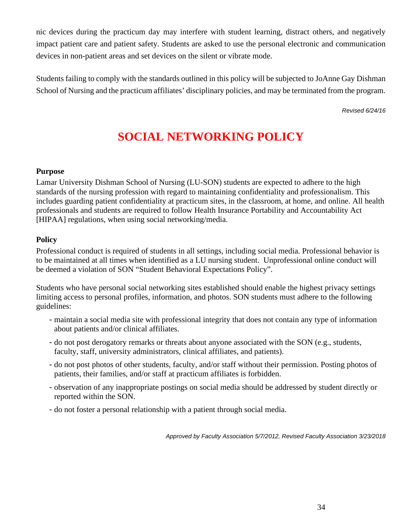nic devices during the practicum day may interfere with student learning, distract others, and negatively impact patient care and patient safety. Students are asked to use the personal electronic and communication devices in non-patient areas and set devices on the silent or vibrate mode.

Students failing to comply with the standards outlined in this policy will be subjected to JoAnne Gay Dishman School of Nursing and the practicum affiliates' disciplinary policies, and may be terminated from the program.

*Revised 6/24/16*

# **SOCIAL NETWORKING POLICY**

### **Purpose**

Lamar University Dishman School of Nursing (LU-SON) students are expected to adhere to the high standards of the nursing profession with regard to maintaining confidentiality and professionalism. This includes guarding patient confidentiality at practicum sites, in the classroom, at home, and online. All health professionals and students are required to follow Health Insurance Portability and Accountability Act [HIPAA] regulations, when using social networking/media.

### **Policy**

Professional conduct is required of students in all settings, including social media. Professional behavior is to be maintained at all times when identified as a LU nursing student. Unprofessional online conduct will be deemed a violation of SON "Student Behavioral Expectations Policy".

Students who have personal social networking sites established should enable the highest privacy settings limiting access to personal profiles, information, and photos. SON students must adhere to the following guidelines:

- -maintain a social media site with professional integrity that does not contain any type of information about patients and/or clinical affiliates.
- -do not post derogatory remarks or threats about anyone associated with the SON (e.g., students, faculty, staff, university administrators, clinical affiliates, and patients).
- -do not post photos of other students, faculty, and/or staff without their permission. Posting photos of patients, their families, and/or staff at practicum affiliates is forbidden.
- -observation of any inappropriate postings on social media should be addressed by student directly or reported within the SON.
- -do not foster a personal relationship with a patient through social media.

*Approved by Faculty Association 5/7/2012, Revised Faculty Association 3/23/2018*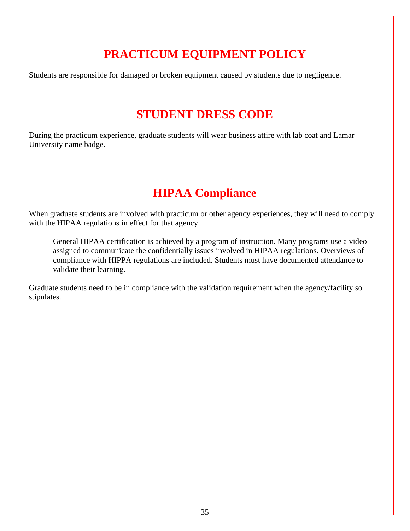# **PRACTICUM EQUIPMENT POLICY**

Students are responsible for damaged or broken equipment caused by students due to negligence.

# **STUDENT DRESS CODE**

During the practicum experience, graduate students will wear business attire with lab coat and Lamar University name badge.

# **HIPAA Compliance**

When graduate students are involved with practicum or other agency experiences, they will need to comply with the HIPAA regulations in effect for that agency.

General HIPAA certification is achieved by a program of instruction. Many programs use a video assigned to communicate the confidentially issues involved in HIPAA regulations. Overviews of compliance with HIPPA regulations are included. Students must have documented attendance to validate their learning.

Graduate students need to be in compliance with the validation requirement when the agency/facility so stipulates.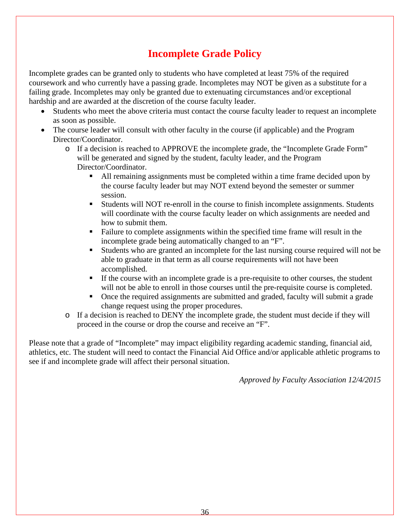# **Incomplete Grade Policy**

Incomplete grades can be granted only to students who have completed at least 75% of the required coursework and who currently have a passing grade. Incompletes may NOT be given as a substitute for a failing grade. Incompletes may only be granted due to extenuating circumstances and/or exceptional hardship and are awarded at the discretion of the course faculty leader.

- Students who meet the above criteria must contact the course faculty leader to request an incomplete as soon as possible.
- The course leader will consult with other faculty in the course (if applicable) and the Program Director/Coordinator.
	- o If a decision is reached to APPROVE the incomplete grade, the "Incomplete Grade Form" will be generated and signed by the student, faculty leader, and the Program Director/Coordinator.
		- All remaining assignments must be completed within a time frame decided upon by the course faculty leader but may NOT extend beyond the semester or summer session.
		- Students will NOT re-enroll in the course to finish incomplete assignments. Students will coordinate with the course faculty leader on which assignments are needed and how to submit them.
		- Failure to complete assignments within the specified time frame will result in the incomplete grade being automatically changed to an "F".
		- Students who are granted an incomplete for the last nursing course required will not be able to graduate in that term as all course requirements will not have been accomplished.
		- If the course with an incomplete grade is a pre-requisite to other courses, the student will not be able to enroll in those courses until the pre-requisite course is completed.
		- Once the required assignments are submitted and graded, faculty will submit a grade change request using the proper procedures.
	- o If a decision is reached to DENY the incomplete grade, the student must decide if they will proceed in the course or drop the course and receive an "F".

Please note that a grade of "Incomplete" may impact eligibility regarding academic standing, financial aid, athletics, etc. The student will need to contact the Financial Aid Office and/or applicable athletic programs to see if and incomplete grade will affect their personal situation.

*Approved by Faculty Association 12/4/2015*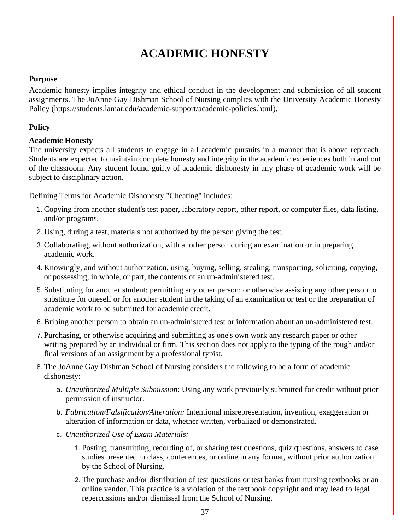# **ACADEMIC HONESTY**

### **Purpose**

Academic honesty implies integrity and ethical conduct in the development and submission of all student assignments. The JoAnne Gay Dishman School of Nursing complies with the University Academic Honesty Policy (https://students.lamar.edu/academic-support/academic-policies.html).

# **Policy**

# **Academic Honesty**

The university expects all students to engage in all academic pursuits in a manner that is above reproach. Students are expected to maintain complete honesty and integrity in the academic experiences both in and out of the classroom. Any student found guilty of academic dishonesty in any phase of academic work will be subject to disciplinary action.

Defining Terms for Academic Dishonesty "Cheating" includes:

- 1. Copying from another student's test paper, laboratory report, other report, or computer files, data listing, and/or programs.
- 2. Using, during a test, materials not authorized by the person giving the test.
- 3. Collaborating, without authorization, with another person during an examination or in preparing academic work.
- 4. Knowingly, and without authorization, using, buying, selling, stealing, transporting, soliciting, copying, or possessing, in whole, or part, the contents of an un-administered test.
- 5. Substituting for another student; permitting any other person; or otherwise assisting any other person to substitute for oneself or for another student in the taking of an examination or test or the preparation of academic work to be submitted for academic credit.
- 6. Bribing another person to obtain an un-administered test or information about an un-administered test.
- 7. Purchasing, or otherwise acquiring and submitting as one's own work any research paper or other writing prepared by an individual or firm. This section does not apply to the typing of the rough and/or final versions of an assignment by a professional typist.
- 8. The JoAnne Gay Dishman School of Nursing considers the following to be a form of academic dishonesty:
	- a. *Unauthorized Multiple Submission*: Using any work previously submitted for credit without prior permission of instructor.
	- b. *Fabrication/Falsification/Alteration:* Intentional misrepresentation, invention, exaggeration or alteration of information or data, whether written, verbalized or demonstrated.
	- c. *Unauthorized Use of Exam Materials:*
		- 1. Posting, transmitting, recording of, or sharing test questions, quiz questions, answers to case studies presented in class, conferences, or online in any format, without prior authorization by the School of Nursing.
		- 2. The purchase and/or distribution of test questions or test banks from nursing textbooks or an online vendor. This practice is a violation of the textbook copyright and may lead to legal repercussions and/or dismissal from the School of Nursing.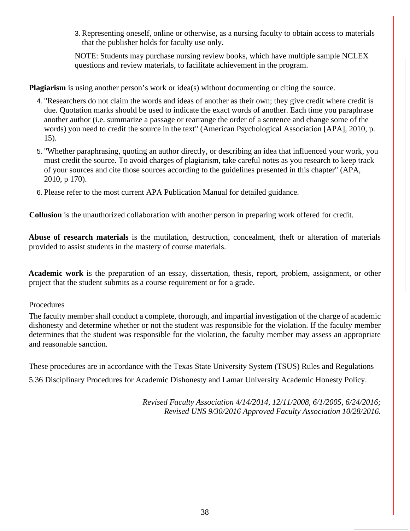3.Representing oneself, online or otherwise, as a nursing faculty to obtain access to materials that the publisher holds for faculty use only.

NOTE: Students may purchase nursing review books, which have multiple sample NCLEX questions and review materials, to facilitate achievement in the program.

**Plagiarism** is using another person's work or idea(s) without documenting or citing the source.

- 4. "Researchers do not claim the words and ideas of another as their own; they give credit where credit is due. Quotation marks should be used to indicate the exact words of another. Each time you paraphrase another author (i.e. summarize a passage or rearrange the order of a sentence and change some of the words) you need to credit the source in the text" (American Psychological Association [APA], 2010, p. 15).
- 5. "Whether paraphrasing, quoting an author directly, or describing an idea that influenced your work, you must credit the source. To avoid charges of plagiarism, take careful notes as you research to keep track of your sources and cite those sources according to the guidelines presented in this chapter" (APA, 2010, p 170).
- 6. Please refer to the most current APA Publication Manual for detailed guidance.

**Collusion** is the unauthorized collaboration with another person in preparing work offered for credit.

**Abuse of research materials** is the mutilation, destruction, concealment, theft or alteration of materials provided to assist students in the mastery of course materials.

**Academic work** is the preparation of an essay, dissertation, thesis, report, problem, assignment, or other project that the student submits as a course requirement or for a grade.

**Procedures** 

The faculty member shall conduct a complete, thorough, and impartial investigation of the charge of academic dishonesty and determine whether or not the student was responsible for the violation. If the faculty member determines that the student was responsible for the violation, the faculty member may assess an appropriate and reasonable sanction.

These procedures are in accordance with the Texas State University System (TSUS) Rules and Regulations 5.36 Disciplinary Procedures for Academic Dishonesty and Lamar University Academic Honesty Policy.

> *Revised Faculty Association 4/14/2014, 12/11/2008, 6/1/2005, 6/24/2016; Revised UNS 9/30/2016 Approved Faculty Association 10/28/2016.*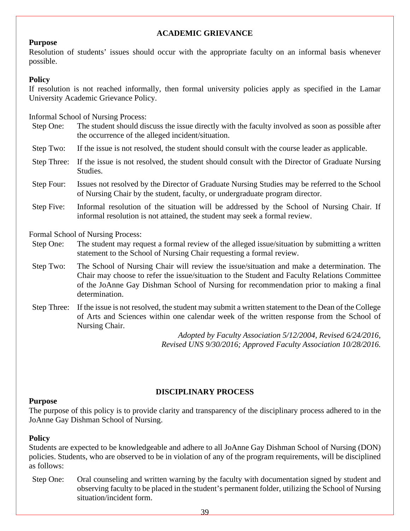### **ACADEMIC GRIEVANCE**

# **Purpose**

Resolution of students' issues should occur with the appropriate faculty on an informal basis whenever possible.

### **Policy**

If resolution is not reached informally, then formal university policies apply as specified in the Lamar University Academic Grievance Policy.

Informal School of Nursing Process:

- Step One: The student should discuss the issue directly with the faculty involved as soon as possible after the occurrence of the alleged incident/situation.
- Step Two: If the issue is not resolved, the student should consult with the course leader as applicable.
- Step Three: If the issue is not resolved, the student should consult with the Director of Graduate Nursing Studies.
- Step Four: Issues not resolved by the Director of Graduate Nursing Studies may be referred to the School of Nursing Chair by the student, faculty, or undergraduate program director.
- Step Five: Informal resolution of the situation will be addressed by the School of Nursing Chair. If informal resolution is not attained, the student may seek a formal review.

Formal School of Nursing Process:

- Step One: The student may request a formal review of the alleged issue/situation by submitting a written statement to the School of Nursing Chair requesting a formal review.
- Step Two: The School of Nursing Chair will review the issue/situation and make a determination. The Chair may choose to refer the issue/situation to the Student and Faculty Relations Committee of the JoAnne Gay Dishman School of Nursing for recommendation prior to making a final determination.
- Step Three: If the issue is not resolved, the student may submit a written statement to the Dean of the College of Arts and Sciences within one calendar week of the written response from the School of Nursing Chair.

*Adopted by Faculty Association 5/12/2004, Revised 6/24/2016, Revised UNS 9/30/2016; Approved Faculty Association 10/28/2016.*

# **DISCIPLINARY PROCESS**

### **Purpose**

The purpose of this policy is to provide clarity and transparency of the disciplinary process adhered to in the JoAnne Gay Dishman School of Nursing.

# **Policy**

Students are expected to be knowledgeable and adhere to all JoAnne Gay Dishman School of Nursing (DON) policies. Students, who are observed to be in violation of any of the program requirements, will be disciplined as follows:

Step One: Oral counseling and written warning by the faculty with documentation signed by student and observing faculty to be placed in the student's permanent folder, utilizing the School of Nursing situation/incident form.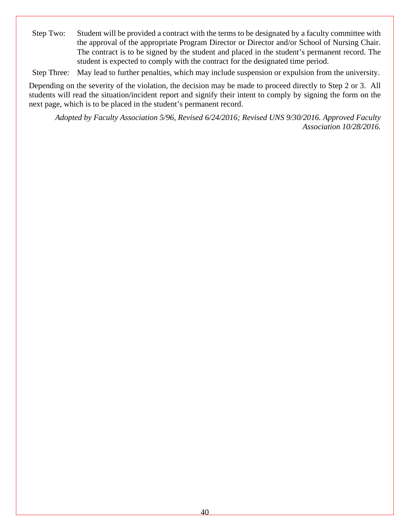Step Two: Student will be provided a contract with the terms to be designated by a faculty committee with the approval of the appropriate Program Director or Director and/or School of Nursing Chair. The contract is to be signed by the student and placed in the student's permanent record. The student is expected to comply with the contract for the designated time period.

Step Three: May lead to further penalties, which may include suspension or expulsion from the university.

Depending on the severity of the violation, the decision may be made to proceed directly to Step 2 or 3. All students will read the situation/incident report and signify their intent to comply by signing the form on the next page, which is to be placed in the student's permanent record.

*Adopted by Faculty Association 5/96, Revised 6/24/2016; Revised UNS 9/30/2016. Approved Faculty Association 10/28/2016.*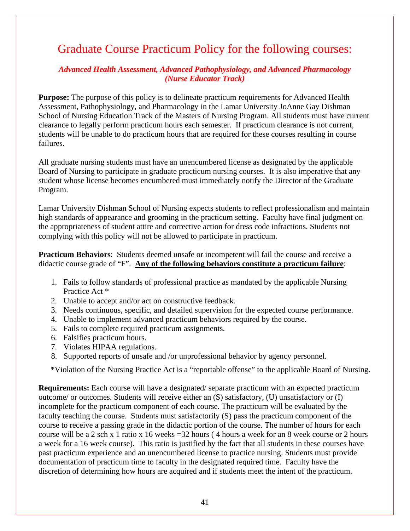# Graduate Course Practicum Policy for the following courses:

# *Advanced Health Assessment, Advanced Pathophysiology, and Advanced Pharmacology (Nurse Educator Track)*

**Purpose:** The purpose of this policy is to delineate practicum requirements for Advanced Health Assessment, Pathophysiology, and Pharmacology in the Lamar University JoAnne Gay Dishman School of Nursing Education Track of the Masters of Nursing Program. All students must have current clearance to legally perform practicum hours each semester. If practicum clearance is not current, students will be unable to do practicum hours that are required for these courses resulting in course failures.

All graduate nursing students must have an unencumbered license as designated by the applicable Board of Nursing to participate in graduate practicum nursing courses. It is also imperative that any student whose license becomes encumbered must immediately notify the Director of the Graduate Program.

Lamar University Dishman School of Nursing expects students to reflect professionalism and maintain high standards of appearance and grooming in the practicum setting. Faculty have final judgment on the appropriateness of student attire and corrective action for dress code infractions. Students not complying with this policy will not be allowed to participate in practicum.

**Practicum Behaviors**: Students deemed unsafe or incompetent will fail the course and receive a didactic course grade of "F". **Any of the following behaviors constitute a practicum failure**:

- 1. Fails to follow standards of professional practice as mandated by the applicable Nursing Practice Act \*
- 2. Unable to accept and/or act on constructive feedback.
- 3. Needs continuous, specific, and detailed supervision for the expected course performance.
- 4. Unable to implement advanced practicum behaviors required by the course.
- 5. Fails to complete required practicum assignments.
- 6. Falsifies practicum hours.
- 7. Violates HIPAA regulations.
- 8. Supported reports of unsafe and /or unprofessional behavior by agency personnel.

\*Violation of the Nursing Practice Act is a "reportable offense" to the applicable Board of Nursing.

**Requirements:** Each course will have a designated/ separate practicum with an expected practicum outcome/ or outcomes. Students will receive either an (S) satisfactory, (U) unsatisfactory or (I) incomplete for the practicum component of each course. The practicum will be evaluated by the faculty teaching the course. Students must satisfactorily (S) pass the practicum component of the course to receive a passing grade in the didactic portion of the course. The number of hours for each course will be a 2 sch x 1 ratio x 16 weeks =32 hours ( 4 hours a week for an 8 week course or 2 hours a week for a 16 week course). This ratio is justified by the fact that all students in these courses have past practicum experience and an unencumbered license to practice nursing. Students must provide documentation of practicum time to faculty in the designated required time. Faculty have the discretion of determining how hours are acquired and if students meet the intent of the practicum.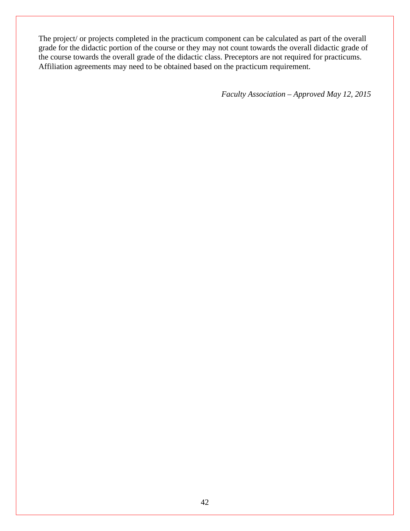The project/ or projects completed in the practicum component can be calculated as part of the overall grade for the didactic portion of the course or they may not count towards the overall didactic grade of the course towards the overall grade of the didactic class. Preceptors are not required for practicums. Affiliation agreements may need to be obtained based on the practicum requirement.

*Faculty Association – Approved May 12, 2015*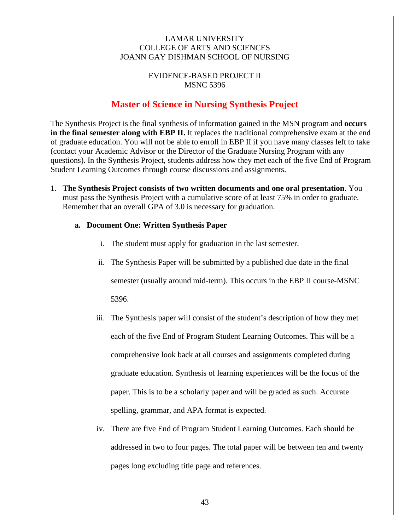## LAMAR UNIVERSITY COLLEGE OF ARTS AND SCIENCES JOANN GAY DISHMAN SCHOOL OF NURSING

# EVIDENCE-BASED PROJECT II MSNC 5396

# **Master of Science in Nursing Synthesis Project**

The Synthesis Project is the final synthesis of information gained in the MSN program and **occurs in the final semester along with EBP II.** It replaces the traditional comprehensive exam at the end of graduate education. You will not be able to enroll in EBP II if you have many classes left to take (contact your Academic Advisor or the Director of the Graduate Nursing Program with any questions). In the Synthesis Project, students address how they met each of the five End of Program Student Learning Outcomes through course discussions and assignments.

1. **The Synthesis Project consists of two written documents and one oral presentation**. You must pass the Synthesis Project with a cumulative score of at least 75% in order to graduate. Remember that an overall GPA of 3.0 is necessary for graduation.

### **a. Document One: Written Synthesis Paper**

- i. The student must apply for graduation in the last semester.
- ii. The Synthesis Paper will be submitted by a published due date in the final semester (usually around mid-term). This occurs in the EBP II course-MSNC 5396.
- iii. The Synthesis paper will consist of the student's description of how they met each of the five End of Program Student Learning Outcomes. This will be a comprehensive look back at all courses and assignments completed during graduate education. Synthesis of learning experiences will be the focus of the paper. This is to be a scholarly paper and will be graded as such. Accurate spelling, grammar, and APA format is expected.
- iv. There are five End of Program Student Learning Outcomes. Each should be addressed in two to four pages. The total paper will be between ten and twenty pages long excluding title page and references.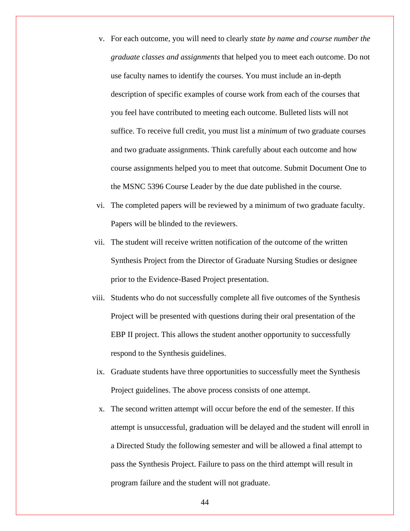- v. For each outcome, you will need to clearly *state by name and course number the graduate classes and assignments* that helped you to meet each outcome. Do not use faculty names to identify the courses. You must include an in-depth description of specific examples of course work from each of the courses that you feel have contributed to meeting each outcome. Bulleted lists will not suffice. To receive full credit, you must list a *minimum* of two graduate courses and two graduate assignments. Think carefully about each outcome and how course assignments helped you to meet that outcome. Submit Document One to the MSNC 5396 Course Leader by the due date published in the course.
- vi. The completed papers will be reviewed by a minimum of two graduate faculty. Papers will be blinded to the reviewers.
- vii. The student will receive written notification of the outcome of the written Synthesis Project from the Director of Graduate Nursing Studies or designee prior to the Evidence-Based Project presentation.
- viii. Students who do not successfully complete all five outcomes of the Synthesis Project will be presented with questions during their oral presentation of the EBP II project. This allows the student another opportunity to successfully respond to the Synthesis guidelines.
- ix. Graduate students have three opportunities to successfully meet the Synthesis Project guidelines. The above process consists of one attempt.
- x. The second written attempt will occur before the end of the semester. If this attempt is unsuccessful, graduation will be delayed and the student will enroll in a Directed Study the following semester and will be allowed a final attempt to pass the Synthesis Project. Failure to pass on the third attempt will result in program failure and the student will not graduate.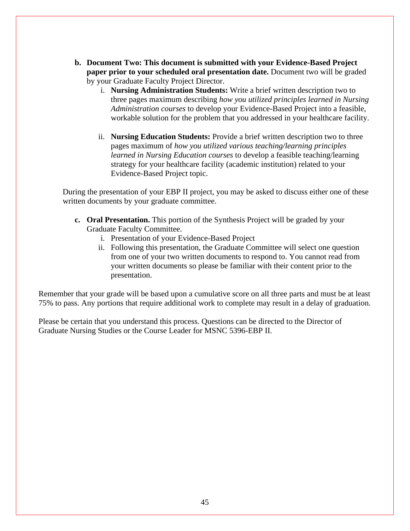- **b. Document Two: This document is submitted with your Evidence-Based Project paper prior to your scheduled oral presentation date.** Document two will be graded by your Graduate Faculty Project Director.
	- i. **Nursing Administration Students:** Write a brief written description two to three pages maximum describing *how you utilized principles learned in Nursing Administration courses* to develop your Evidence-Based Project into a feasible, workable solution for the problem that you addressed in your healthcare facility.
	- ii. **Nursing Education Students:** Provide a brief written description two to three pages maximum of *how you utilized various teaching/learning principles learned in Nursing Education courses* to develop a feasible teaching/learning strategy for your healthcare facility (academic institution) related to your Evidence-Based Project topic.

During the presentation of your EBP II project, you may be asked to discuss either one of these written documents by your graduate committee.

- **c. Oral Presentation.** This portion of the Synthesis Project will be graded by your Graduate Faculty Committee.
	- i. Presentation of your Evidence-Based Project
	- ii. Following this presentation, the Graduate Committee will select one question from one of your two written documents to respond to. You cannot read from your written documents so please be familiar with their content prior to the presentation.

Remember that your grade will be based upon a cumulative score on all three parts and must be at least 75% to pass. Any portions that require additional work to complete may result in a delay of graduation.

Please be certain that you understand this process. Questions can be directed to the Director of Graduate Nursing Studies or the Course Leader for MSNC 5396-EBP II.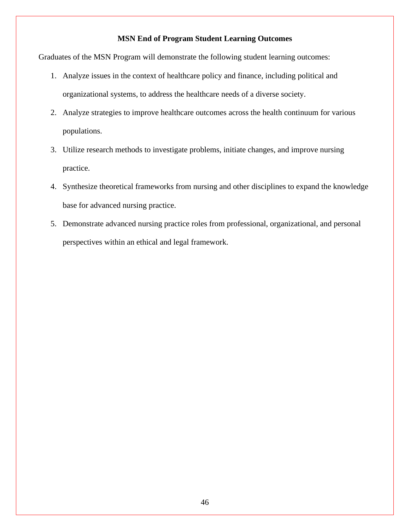# **MSN End of Program Student Learning Outcomes**

Graduates of the MSN Program will demonstrate the following student learning outcomes:

- 1. Analyze issues in the context of healthcare policy and finance, including political and organizational systems, to address the healthcare needs of a diverse society.
- 2. Analyze strategies to improve healthcare outcomes across the health continuum for various populations.
- 3. Utilize research methods to investigate problems, initiate changes, and improve nursing practice.
- 4. Synthesize theoretical frameworks from nursing and other disciplines to expand the knowledge base for advanced nursing practice.
- 5. Demonstrate advanced nursing practice roles from professional, organizational, and personal perspectives within an ethical and legal framework.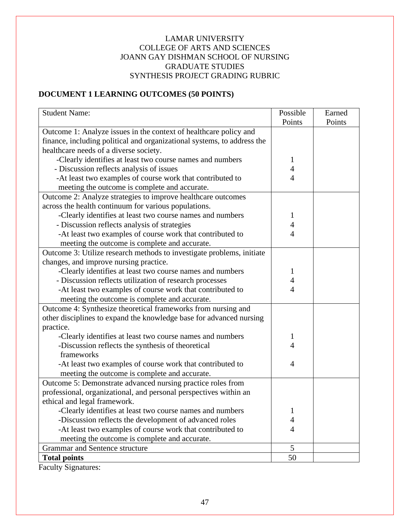# LAMAR UNIVERSITY COLLEGE OF ARTS AND SCIENCES JOANN GAY DISHMAN SCHOOL OF NURSING GRADUATE STUDIES SYNTHESIS PROJECT GRADING RUBRIC

# **DOCUMENT 1 LEARNING OUTCOMES (50 POINTS)**

| <b>Student Name:</b>                                                    | Possible       | Earned |
|-------------------------------------------------------------------------|----------------|--------|
|                                                                         | Points         | Points |
| Outcome 1: Analyze issues in the context of healthcare policy and       |                |        |
| finance, including political and organizational systems, to address the |                |        |
| healthcare needs of a diverse society.                                  |                |        |
| -Clearly identifies at least two course names and numbers               | 1              |        |
| - Discussion reflects analysis of issues                                | 4              |        |
| -At least two examples of course work that contributed to               | $\overline{4}$ |        |
| meeting the outcome is complete and accurate.                           |                |        |
| Outcome 2: Analyze strategies to improve healthcare outcomes            |                |        |
| across the health continuum for various populations.                    |                |        |
| -Clearly identifies at least two course names and numbers               | 1              |        |
| - Discussion reflects analysis of strategies                            | 4              |        |
| -At least two examples of course work that contributed to               | 4              |        |
| meeting the outcome is complete and accurate.                           |                |        |
| Outcome 3: Utilize research methods to investigate problems, initiate   |                |        |
| changes, and improve nursing practice.                                  |                |        |
| -Clearly identifies at least two course names and numbers               | 1              |        |
| - Discussion reflects utilization of research processes                 | 4              |        |
| -At least two examples of course work that contributed to               | 4              |        |
| meeting the outcome is complete and accurate.                           |                |        |
| Outcome 4: Synthesize theoretical frameworks from nursing and           |                |        |
| other disciplines to expand the knowledge base for advanced nursing     |                |        |
| practice.                                                               |                |        |
| -Clearly identifies at least two course names and numbers               | 1              |        |
| -Discussion reflects the synthesis of theoretical                       | 4              |        |
| frameworks                                                              |                |        |
| -At least two examples of course work that contributed to               | 4              |        |
| meeting the outcome is complete and accurate.                           |                |        |
| Outcome 5: Demonstrate advanced nursing practice roles from             |                |        |
| professional, organizational, and personal perspectives within an       |                |        |
| ethical and legal framework.                                            |                |        |
| -Clearly identifies at least two course names and numbers               | 1              |        |
| -Discussion reflects the development of advanced roles                  | 4              |        |
| -At least two examples of course work that contributed to               | $\overline{4}$ |        |
| meeting the outcome is complete and accurate.                           |                |        |
| Grammar and Sentence structure                                          | 5              |        |
| <b>Total points</b>                                                     | 50             |        |

Faculty Signatures: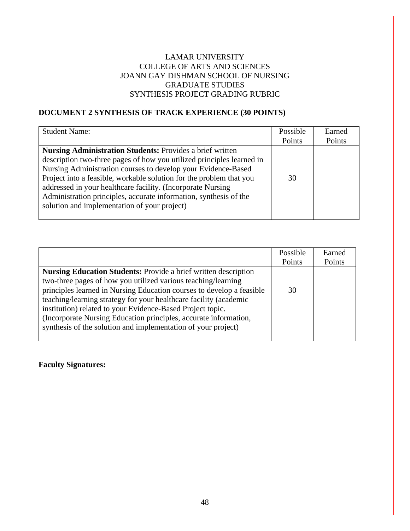### LAMAR UNIVERSITY COLLEGE OF ARTS AND SCIENCES JOANN GAY DISHMAN SCHOOL OF NURSING GRADUATE STUDIES SYNTHESIS PROJECT GRADING RUBRIC

# **DOCUMENT 2 SYNTHESIS OF TRACK EXPERIENCE (30 POINTS)**

| <b>Student Name:</b>                                                  | Possible | Earned |
|-----------------------------------------------------------------------|----------|--------|
|                                                                       | Points   | Points |
| <b>Nursing Administration Students: Provides a brief written</b>      |          |        |
| description two-three pages of how you utilized principles learned in |          |        |
| Nursing Administration courses to develop your Evidence-Based         |          |        |
| Project into a feasible, workable solution for the problem that you   | 30       |        |
| addressed in your healthcare facility. (Incorporate Nursing           |          |        |
| Administration principles, accurate information, synthesis of the     |          |        |
| solution and implementation of your project)                          |          |        |
|                                                                       |          |        |

|                                                                                                                                                                                                                                                                                                                                                                                                                                                                                          | Possible<br>Points | Earned<br>Points |
|------------------------------------------------------------------------------------------------------------------------------------------------------------------------------------------------------------------------------------------------------------------------------------------------------------------------------------------------------------------------------------------------------------------------------------------------------------------------------------------|--------------------|------------------|
| <b>Nursing Education Students:</b> Provide a brief written description<br>two-three pages of how you utilized various teaching/learning<br>principles learned in Nursing Education courses to develop a feasible<br>teaching/learning strategy for your healthcare facility (academic<br>institution) related to your Evidence-Based Project topic.<br>(Incorporate Nursing Education principles, accurate information,<br>synthesis of the solution and implementation of your project) | 30                 |                  |

**Faculty Signatures:**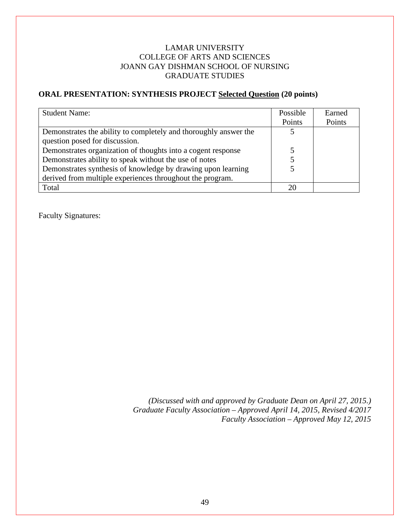# LAMAR UNIVERSITY COLLEGE OF ARTS AND SCIENCES JOANN GAY DISHMAN SCHOOL OF NURSING GRADUATE STUDIES

# **ORAL PRESENTATION: SYNTHESIS PROJECT Selected Question (20 points)**

| <b>Student Name:</b>                                             | Possible | Earned |
|------------------------------------------------------------------|----------|--------|
|                                                                  | Points   | Points |
| Demonstrates the ability to completely and thoroughly answer the |          |        |
| question posed for discussion.                                   |          |        |
| Demonstrates organization of thoughts into a cogent response     |          |        |
| Demonstrates ability to speak without the use of notes           |          |        |
| Demonstrates synthesis of knowledge by drawing upon learning     |          |        |
| derived from multiple experiences throughout the program.        |          |        |
| Total                                                            | 20       |        |

Faculty Signatures:

*(Discussed with and approved by Graduate Dean on April 27, 2015.) Graduate Faculty Association – Approved April 14, 2015, Revised 4/2017 Faculty Association – Approved May 12, 2015*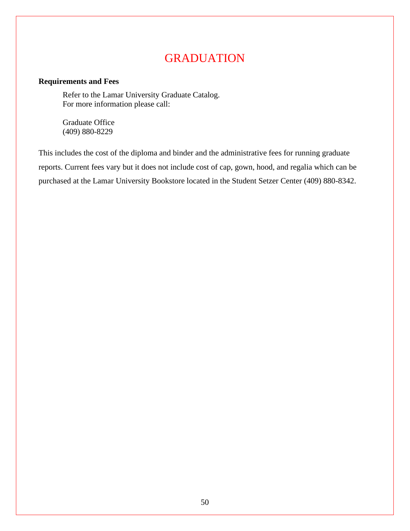# GRADUATION

# **Requirements and Fees**

Refer to the Lamar University Graduate Catalog. For more information please call:

Graduate Office (409) 880-8229

This includes the cost of the diploma and binder and the administrative fees for running graduate reports. Current fees vary but it does not include cost of cap, gown, hood, and regalia which can be purchased at the Lamar University Bookstore located in the Student Setzer Center (409) 880-8342.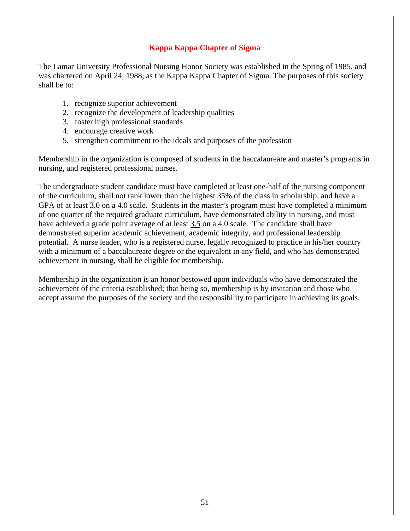# **Kappa Kappa Chapter of Sigma**

The Lamar University Professional Nursing Honor Society was established in the Spring of 1985, and was chartered on April 24, 1988, as the Kappa Kappa Chapter of Sigma. The purposes of this society shall be to:

- 1. recognize superior achievement
- 2. recognize the development of leadership qualities
- 3. foster high professional standards
- 4. encourage creative work
- 5. strengthen commitment to the ideals and purposes of the profession

Membership in the organization is composed of students in the baccalaureate and master's programs in nursing, and registered professional nurses.

The undergraduate student candidate must have completed at least one-half of the nursing component of the curriculum, shall not rank lower than the highest 35% of the class in scholarship, and have a GPA of at least 3.0 on a 4.0 scale. Students in the master's program must have completed a minimum of one quarter of the required graduate curriculum, have demonstrated ability in nursing, and must have achieved a grade point average of at least 3.5 on a 4.0 scale. The candidate shall have demonstrated superior academic achievement, academic integrity, and professional leadership potential. A nurse leader, who is a registered nurse, legally recognized to practice in his/her country with a minimum of a baccalaureate degree or the equivalent in any field, and who has demonstrated achievement in nursing, shall be eligible for membership.

Membership in the organization is an honor bestowed upon individuals who have demonstrated the achievement of the criteria established; that being so, membership is by invitation and those who accept assume the purposes of the society and the responsibility to participate in achieving its goals.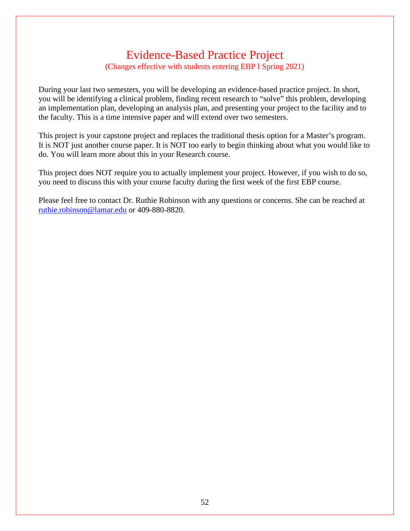# Evidence-Based Practice Project (Changes effective with students entering EBP I Spring 2021)

During your last two semesters, you will be developing an evidence-based practice project. In short, you will be identifying a clinical problem, finding recent research to "solve" this problem, developing an implementation plan, developing an analysis plan, and presenting your project to the facility and to the faculty. This is a time intensive paper and will extend over two semesters.

This project is your capstone project and replaces the traditional thesis option for a Master's program. It is NOT just another course paper. It is NOT too early to begin thinking about what you would like to do. You will learn more about this in your Research course.

This project does NOT require you to actually implement your project. However, if you wish to do so, you need to discuss this with your course faculty during the first week of the first EBP course.

Please feel free to contact Dr. Ruthie Robinson with any questions or concerns. She can be reached at [ruthie.robinson@lamar.edu](mailto:ruthie.robinson@lamar.edu) or 409-880-8820.